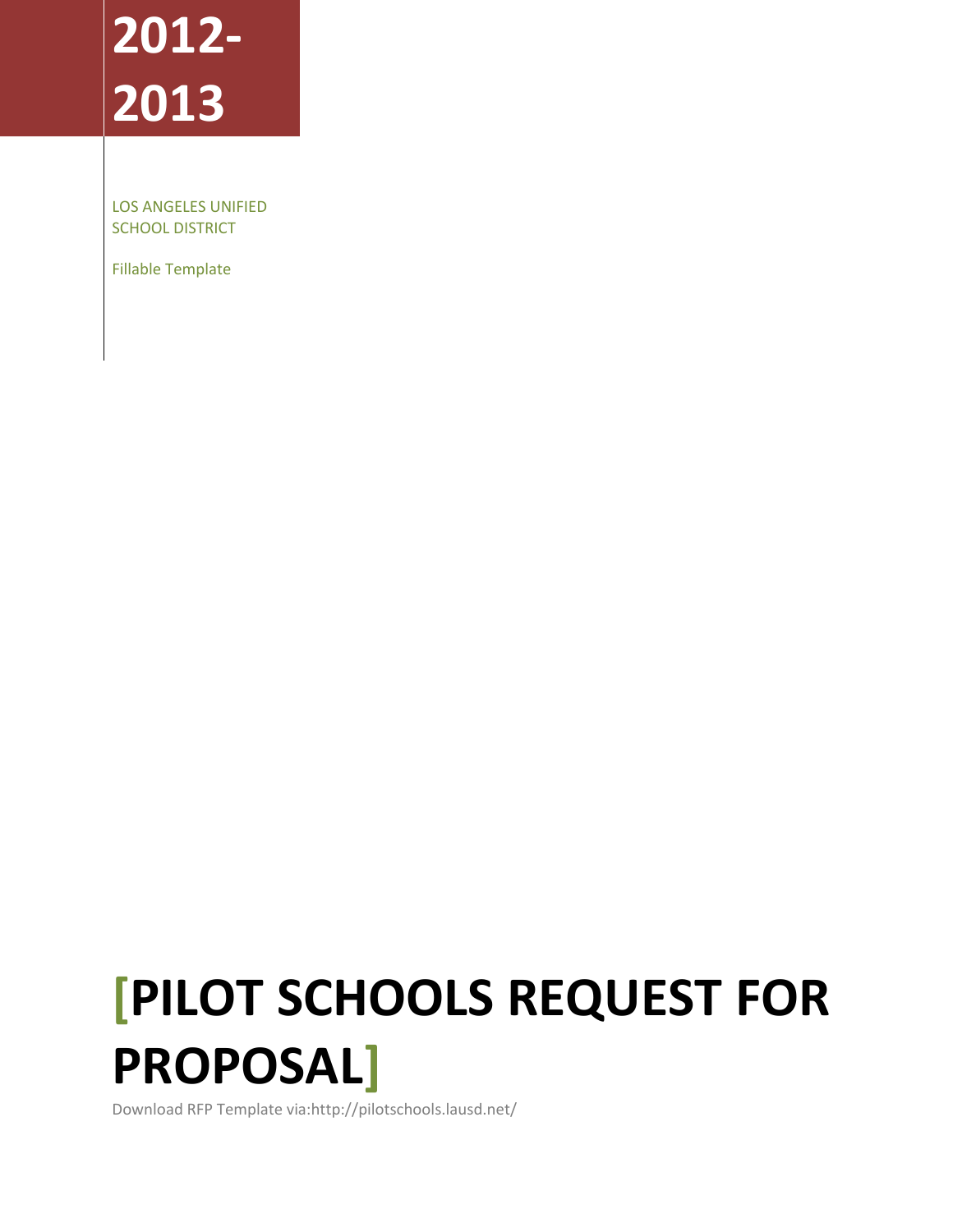# **2012- 2013**

LOS ANGELES UNIFIED SCHOOL DISTRICT

Fillable Template

# **[PILOT SCHOOLS REQUEST FOR PROPOSAL]**

Download RFP Template via:http://pilotschools.lausd.net/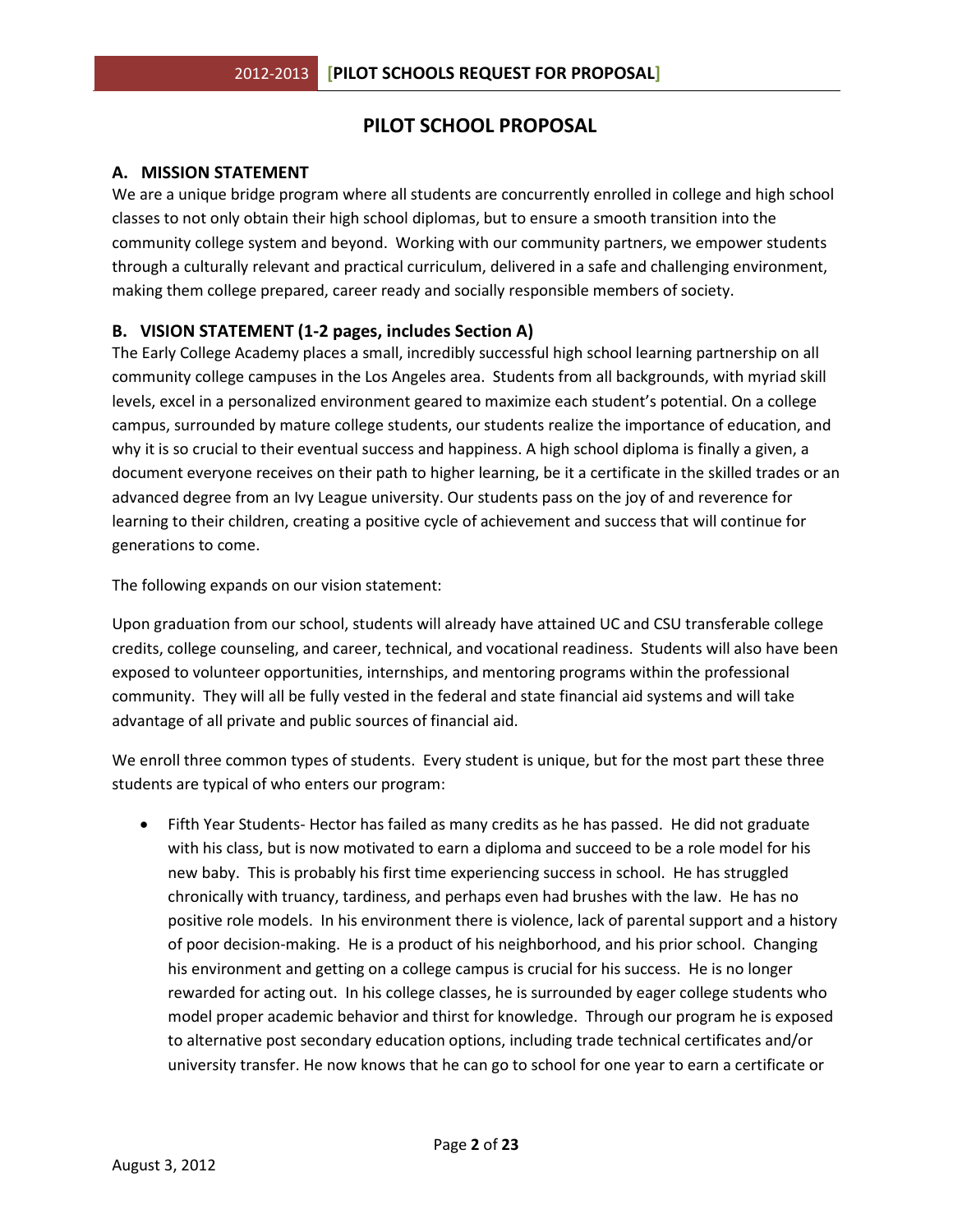# **PILOT SCHOOL PROPOSAL**

## **A. MISSION STATEMENT**

We are a unique bridge program where all students are concurrently enrolled in college and high school classes to not only obtain their high school diplomas, but to ensure a smooth transition into the community college system and beyond. Working with our community partners, we empower students through a culturally relevant and practical curriculum, delivered in a safe and challenging environment, making them college prepared, career ready and socially responsible members of society.

## **B. VISION STATEMENT (1-2 pages, includes Section A)**

The Early College Academy places a small, incredibly successful high school learning partnership on all community college campuses in the Los Angeles area. Students from all backgrounds, with myriad skill levels, excel in a personalized environment geared to maximize each student's potential. On a college campus, surrounded by mature college students, our students realize the importance of education, and why it is so crucial to their eventual success and happiness. A high school diploma is finally a given, a document everyone receives on their path to higher learning, be it a certificate in the skilled trades or an advanced degree from an Ivy League university. Our students pass on the joy of and reverence for learning to their children, creating a positive cycle of achievement and success that will continue for generations to come.

The following expands on our vision statement:

Upon graduation from our school, students will already have attained UC and CSU transferable college credits, college counseling, and career, technical, and vocational readiness. Students will also have been exposed to volunteer opportunities, internships, and mentoring programs within the professional community. They will all be fully vested in the federal and state financial aid systems and will take advantage of all private and public sources of financial aid.

We enroll three common types of students. Every student is unique, but for the most part these three students are typical of who enters our program:

• Fifth Year Students- Hector has failed as many credits as he has passed. He did not graduate with his class, but is now motivated to earn a diploma and succeed to be a role model for his new baby. This is probably his first time experiencing success in school. He has struggled chronically with truancy, tardiness, and perhaps even had brushes with the law. He has no positive role models. In his environment there is violence, lack of parental support and a history of poor decision-making. He is a product of his neighborhood, and his prior school. Changing his environment and getting on a college campus is crucial for his success. He is no longer rewarded for acting out. In his college classes, he is surrounded by eager college students who model proper academic behavior and thirst for knowledge. Through our program he is exposed to alternative post secondary education options, including trade technical certificates and/or university transfer. He now knows that he can go to school for one year to earn a certificate or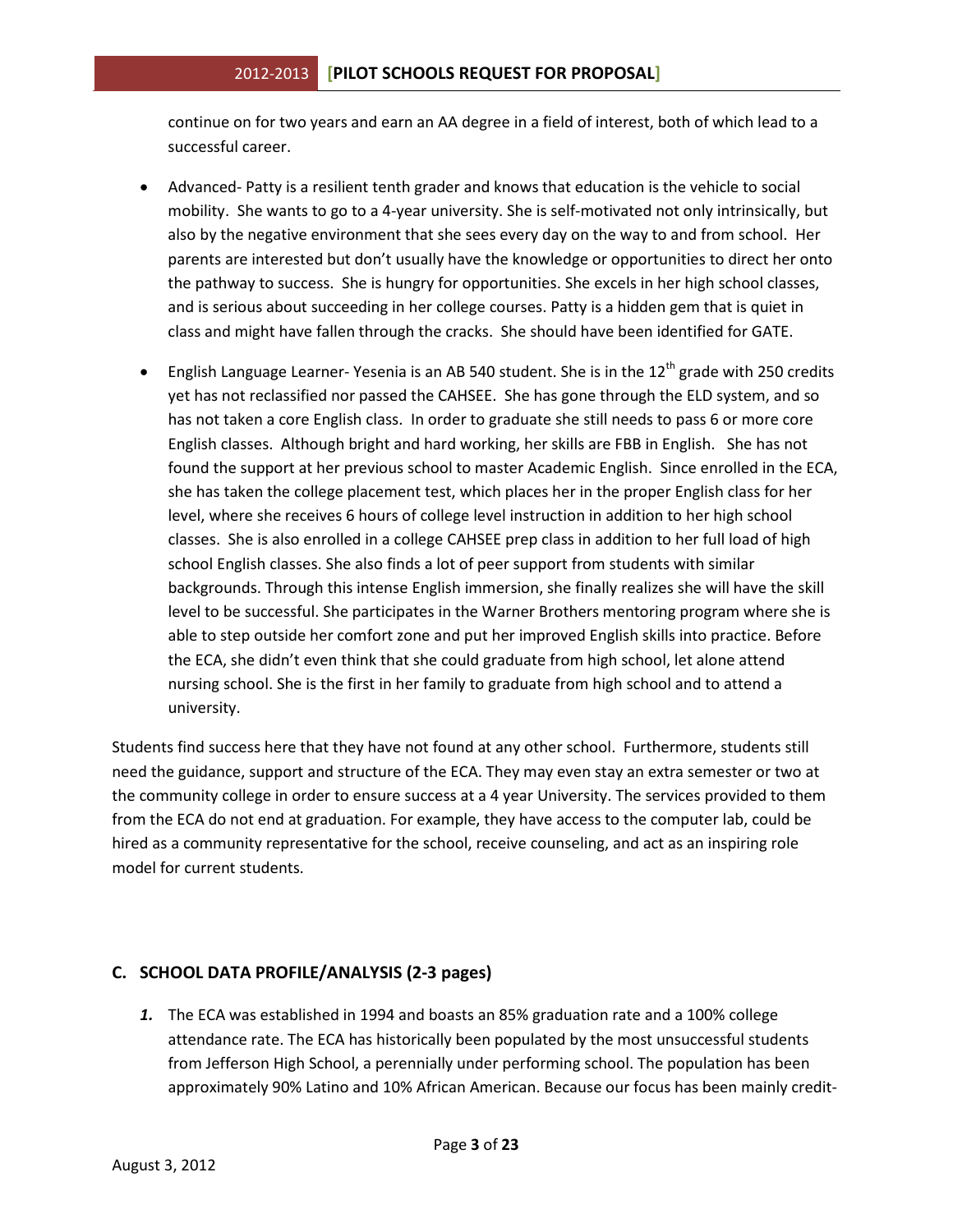continue on for two years and earn an AA degree in a field of interest, both of which lead to a successful career.

- Advanced- Patty is a resilient tenth grader and knows that education is the vehicle to social mobility. She wants to go to a 4-year university. She is self-motivated not only intrinsically, but also by the negative environment that she sees every day on the way to and from school. Her parents are interested but don't usually have the knowledge or opportunities to direct her onto the pathway to success. She is hungry for opportunities. She excels in her high school classes, and is serious about succeeding in her college courses. Patty is a hidden gem that is quiet in class and might have fallen through the cracks. She should have been identified for GATE.
- English Language Learner- Yesenia is an AB 540 student. She is in the  $12<sup>th</sup>$  grade with 250 credits yet has not reclassified nor passed the CAHSEE. She has gone through the ELD system, and so has not taken a core English class. In order to graduate she still needs to pass 6 or more core English classes. Although bright and hard working, her skills are FBB in English. She has not found the support at her previous school to master Academic English. Since enrolled in the ECA, she has taken the college placement test, which places her in the proper English class for her level, where she receives 6 hours of college level instruction in addition to her high school classes. She is also enrolled in a college CAHSEE prep class in addition to her full load of high school English classes. She also finds a lot of peer support from students with similar backgrounds. Through this intense English immersion, she finally realizes she will have the skill level to be successful. She participates in the Warner Brothers mentoring program where she is able to step outside her comfort zone and put her improved English skills into practice. Before the ECA, she didn't even think that she could graduate from high school, let alone attend nursing school. She is the first in her family to graduate from high school and to attend a university.

Students find success here that they have not found at any other school. Furthermore, students still need the guidance, support and structure of the ECA. They may even stay an extra semester or two at the community college in order to ensure success at a 4 year University. The services provided to them from the ECA do not end at graduation. For example, they have access to the computer lab, could be hired as a community representative for the school, receive counseling, and act as an inspiring role model for current students.

## **C. SCHOOL DATA PROFILE/ANALYSIS (2-3 pages)**

*1.* The ECA was established in 1994 and boasts an 85% graduation rate and a 100% college attendance rate. The ECA has historically been populated by the most unsuccessful students from Jefferson High School, a perennially under performing school. The population has been approximately 90% Latino and 10% African American. Because our focus has been mainly credit-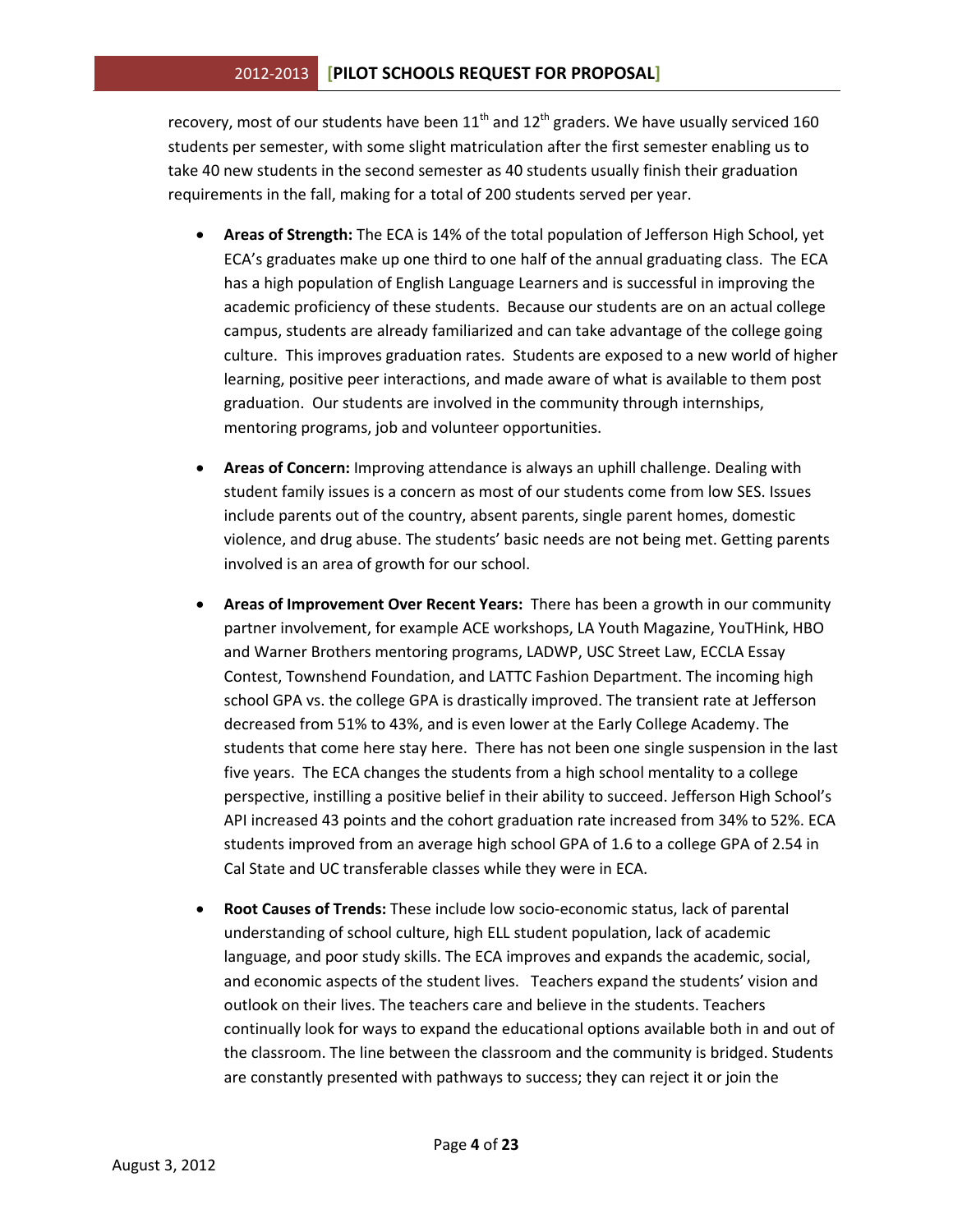recovery, most of our students have been  $11<sup>th</sup>$  and  $12<sup>th</sup>$  graders. We have usually serviced 160 students per semester, with some slight matriculation after the first semester enabling us to take 40 new students in the second semester as 40 students usually finish their graduation requirements in the fall, making for a total of 200 students served per year.

- **Areas of Strength:** The ECA is 14% of the total population of Jefferson High School, yet ECA's graduates make up one third to one half of the annual graduating class. The ECA has a high population of English Language Learners and is successful in improving the academic proficiency of these students. Because our students are on an actual college campus, students are already familiarized and can take advantage of the college going culture. This improves graduation rates. Students are exposed to a new world of higher learning, positive peer interactions, and made aware of what is available to them post graduation. Our students are involved in the community through internships, mentoring programs, job and volunteer opportunities.
- **Areas of Concern:** Improving attendance is always an uphill challenge. Dealing with student family issues is a concern as most of our students come from low SES. Issues include parents out of the country, absent parents, single parent homes, domestic violence, and drug abuse. The students' basic needs are not being met. Getting parents involved is an area of growth for our school.
- **Areas of Improvement Over Recent Years:** There has been a growth in our community partner involvement, for example ACE workshops, LA Youth Magazine, YouTHink, HBO and Warner Brothers mentoring programs, LADWP, USC Street Law, ECCLA Essay Contest, Townshend Foundation, and LATTC Fashion Department. The incoming high school GPA vs. the college GPA is drastically improved. The transient rate at Jefferson decreased from 51% to 43%, and is even lower at the Early College Academy. The students that come here stay here. There has not been one single suspension in the last five years. The ECA changes the students from a high school mentality to a college perspective, instilling a positive belief in their ability to succeed. Jefferson High School's API increased 43 points and the cohort graduation rate increased from 34% to 52%. ECA students improved from an average high school GPA of 1.6 to a college GPA of 2.54 in Cal State and UC transferable classes while they were in ECA.
- **Root Causes of Trends:** These include low socio-economic status, lack of parental understanding of school culture, high ELL student population, lack of academic language, and poor study skills. The ECA improves and expands the academic, social, and economic aspects of the student lives. Teachers expand the students' vision and outlook on their lives. The teachers care and believe in the students. Teachers continually look for ways to expand the educational options available both in and out of the classroom. The line between the classroom and the community is bridged. Students are constantly presented with pathways to success; they can reject it or join the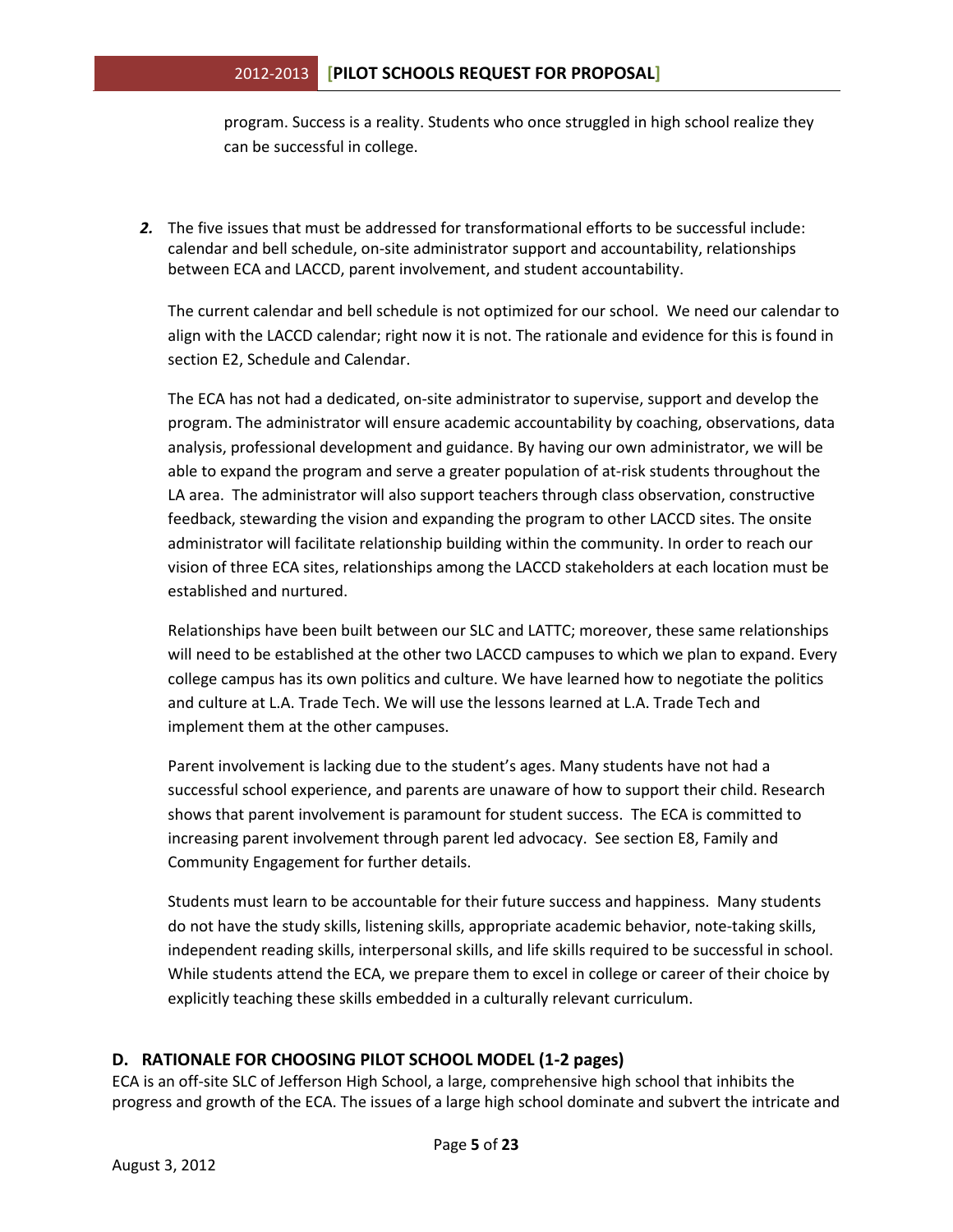program. Success is a reality. Students who once struggled in high school realize they can be successful in college.

*2.* The five issues that must be addressed for transformational efforts to be successful include: calendar and bell schedule, on-site administrator support and accountability, relationships between ECA and LACCD, parent involvement, and student accountability.

The current calendar and bell schedule is not optimized for our school. We need our calendar to align with the LACCD calendar; right now it is not. The rationale and evidence for this is found in section E2, Schedule and Calendar.

The ECA has not had a dedicated, on-site administrator to supervise, support and develop the program. The administrator will ensure academic accountability by coaching, observations, data analysis, professional development and guidance. By having our own administrator, we will be able to expand the program and serve a greater population of at-risk students throughout the LA area. The administrator will also support teachers through class observation, constructive feedback, stewarding the vision and expanding the program to other LACCD sites. The onsite administrator will facilitate relationship building within the community. In order to reach our vision of three ECA sites, relationships among the LACCD stakeholders at each location must be established and nurtured.

Relationships have been built between our SLC and LATTC; moreover, these same relationships will need to be established at the other two LACCD campuses to which we plan to expand. Every college campus has its own politics and culture. We have learned how to negotiate the politics and culture at L.A. Trade Tech. We will use the lessons learned at L.A. Trade Tech and implement them at the other campuses.

Parent involvement is lacking due to the student's ages. Many students have not had a successful school experience, and parents are unaware of how to support their child. Research shows that parent involvement is paramount for student success. The ECA is committed to increasing parent involvement through parent led advocacy. See section E8, Family and Community Engagement for further details.

Students must learn to be accountable for their future success and happiness. Many students do not have the study skills, listening skills, appropriate academic behavior, note-taking skills, independent reading skills, interpersonal skills, and life skills required to be successful in school. While students attend the ECA, we prepare them to excel in college or career of their choice by explicitly teaching these skills embedded in a culturally relevant curriculum.

## **D. RATIONALE FOR CHOOSING PILOT SCHOOL MODEL (1-2 pages)**

ECA is an off-site SLC of Jefferson High School, a large, comprehensive high school that inhibits the progress and growth of the ECA. The issues of a large high school dominate and subvert the intricate and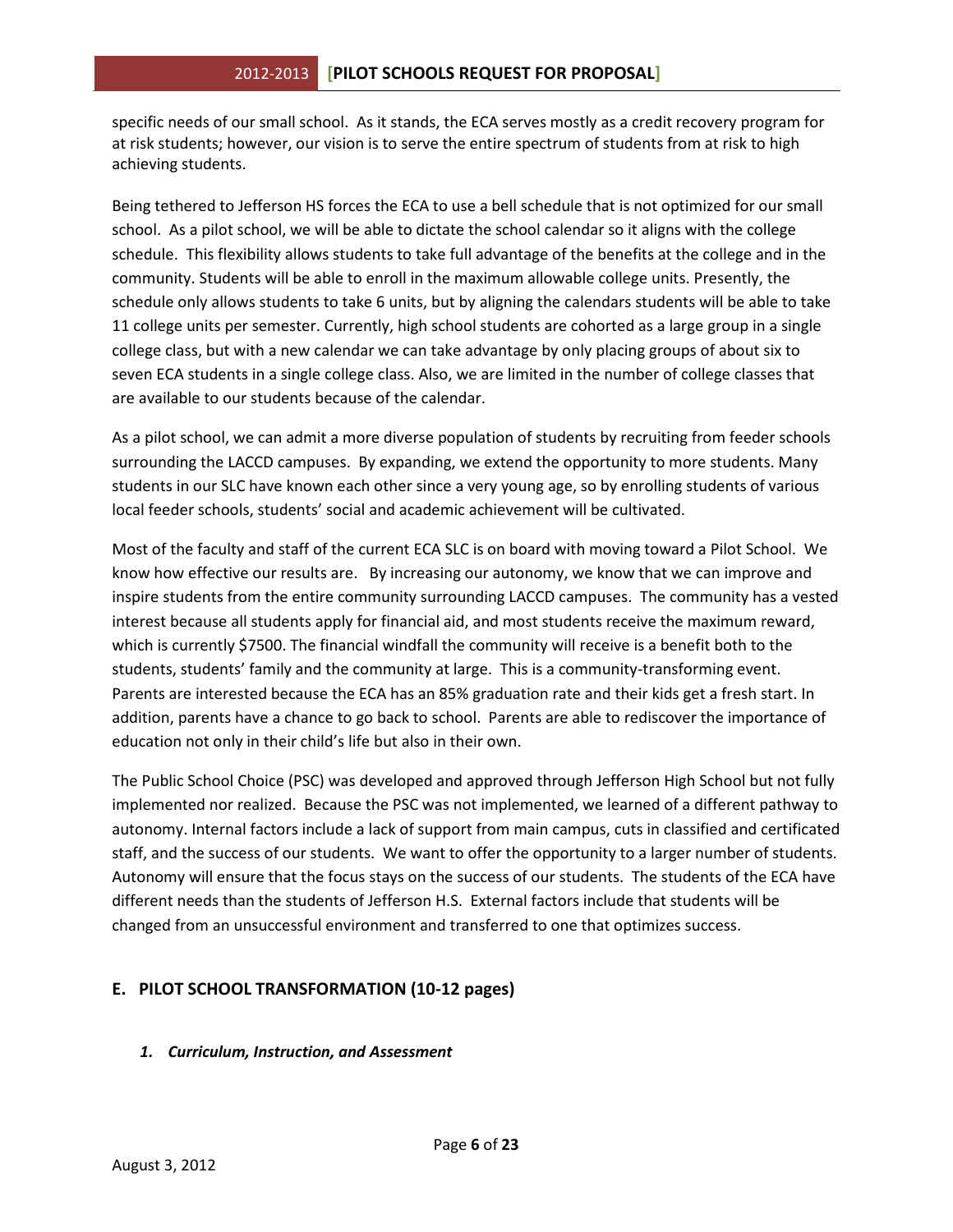specific needs of our small school. As it stands, the ECA serves mostly as a credit recovery program for at risk students; however, our vision is to serve the entire spectrum of students from at risk to high achieving students.

Being tethered to Jefferson HS forces the ECA to use a bell schedule that is not optimized for our small school. As a pilot school, we will be able to dictate the school calendar so it aligns with the college schedule. This flexibility allows students to take full advantage of the benefits at the college and in the community. Students will be able to enroll in the maximum allowable college units. Presently, the schedule only allows students to take 6 units, but by aligning the calendars students will be able to take 11 college units per semester. Currently, high school students are cohorted as a large group in a single college class, but with a new calendar we can take advantage by only placing groups of about six to seven ECA students in a single college class. Also, we are limited in the number of college classes that are available to our students because of the calendar.

As a pilot school, we can admit a more diverse population of students by recruiting from feeder schools surrounding the LACCD campuses. By expanding, we extend the opportunity to more students. Many students in our SLC have known each other since a very young age, so by enrolling students of various local feeder schools, students' social and academic achievement will be cultivated.

Most of the faculty and staff of the current ECA SLC is on board with moving toward a Pilot School. We know how effective our results are. By increasing our autonomy, we know that we can improve and inspire students from the entire community surrounding LACCD campuses. The community has a vested interest because all students apply for financial aid, and most students receive the maximum reward, which is currently \$7500. The financial windfall the community will receive is a benefit both to the students, students' family and the community at large. This is a community-transforming event. Parents are interested because the ECA has an 85% graduation rate and their kids get a fresh start. In addition, parents have a chance to go back to school. Parents are able to rediscover the importance of education not only in their child's life but also in their own.

The Public School Choice (PSC) was developed and approved through Jefferson High School but not fully implemented nor realized. Because the PSC was not implemented, we learned of a different pathway to autonomy. Internal factors include a lack of support from main campus, cuts in classified and certificated staff, and the success of our students. We want to offer the opportunity to a larger number of students. Autonomy will ensure that the focus stays on the success of our students. The students of the ECA have different needs than the students of Jefferson H.S. External factors include that students will be changed from an unsuccessful environment and transferred to one that optimizes success.

## **E. PILOT SCHOOL TRANSFORMATION (10-12 pages)**

## *1. Curriculum, Instruction, and Assessment*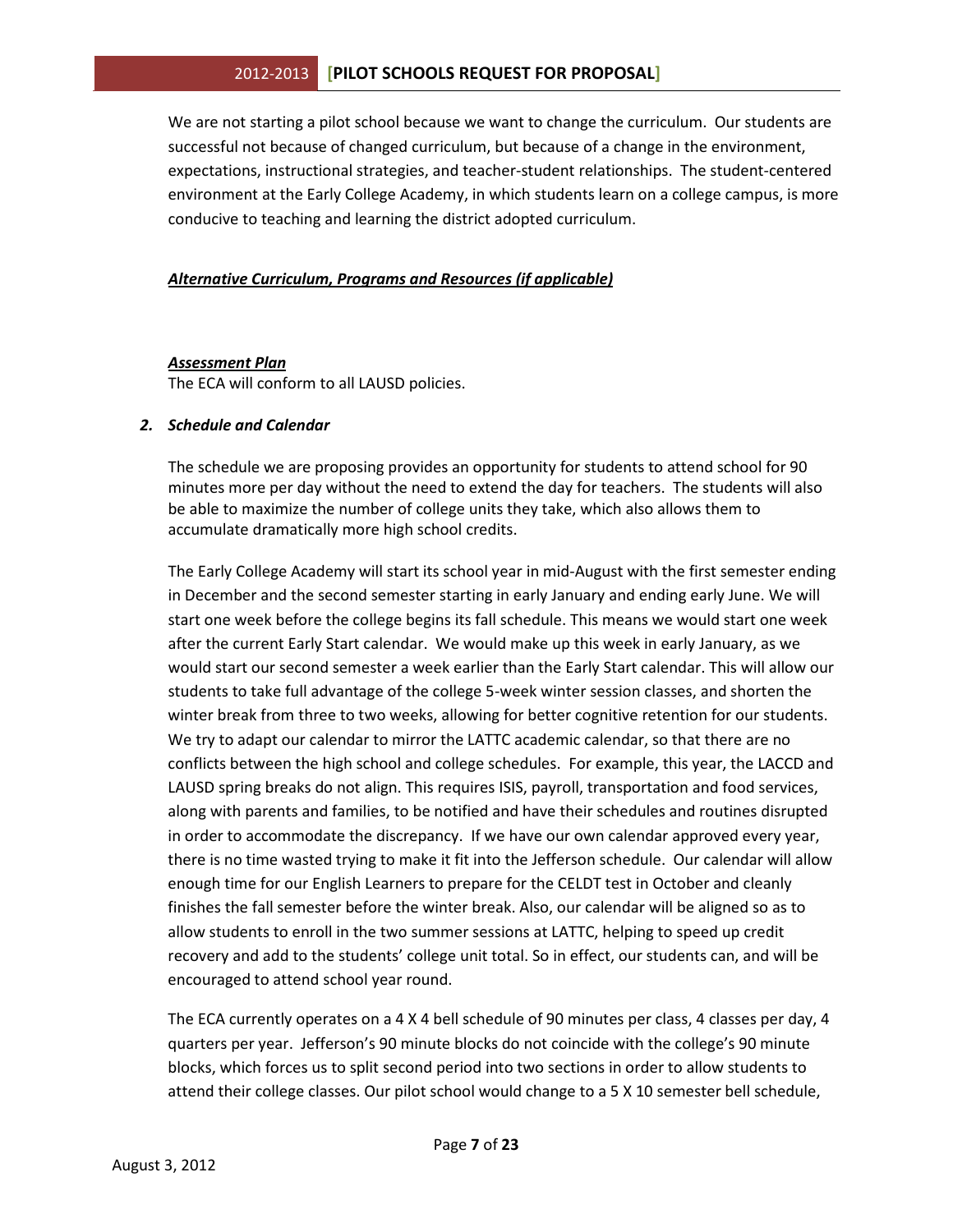We are not starting a pilot school because we want to change the curriculum. Our students are successful not because of changed curriculum, but because of a change in the environment, expectations, instructional strategies, and teacher-student relationships. The student-centered environment at the Early College Academy, in which students learn on a college campus, is more conducive to teaching and learning the district adopted curriculum.

#### *Alternative Curriculum, Programs and Resources (if applicable)*

#### *Assessment Plan*

The ECA will conform to all LAUSD policies.

#### *2. Schedule and Calendar*

The schedule we are proposing provides an opportunity for students to attend school for 90 minutes more per day without the need to extend the day for teachers. The students will also be able to maximize the number of college units they take, which also allows them to accumulate dramatically more high school credits.

The Early College Academy will start its school year in mid-August with the first semester ending in December and the second semester starting in early January and ending early June. We will start one week before the college begins its fall schedule. This means we would start one week after the current Early Start calendar. We would make up this week in early January, as we would start our second semester a week earlier than the Early Start calendar. This will allow our students to take full advantage of the college 5-week winter session classes, and shorten the winter break from three to two weeks, allowing for better cognitive retention for our students. We try to adapt our calendar to mirror the LATTC academic calendar, so that there are no conflicts between the high school and college schedules. For example, this year, the LACCD and LAUSD spring breaks do not align. This requires ISIS, payroll, transportation and food services, along with parents and families, to be notified and have their schedules and routines disrupted in order to accommodate the discrepancy. If we have our own calendar approved every year, there is no time wasted trying to make it fit into the Jefferson schedule. Our calendar will allow enough time for our English Learners to prepare for the CELDT test in October and cleanly finishes the fall semester before the winter break. Also, our calendar will be aligned so as to allow students to enroll in the two summer sessions at LATTC, helping to speed up credit recovery and add to the students' college unit total. So in effect, our students can, and will be encouraged to attend school year round.

The ECA currently operates on a 4 X 4 bell schedule of 90 minutes per class, 4 classes per day, 4 quarters per year. Jefferson's 90 minute blocks do not coincide with the college's 90 minute blocks, which forces us to split second period into two sections in order to allow students to attend their college classes. Our pilot school would change to a 5 X 10 semester bell schedule,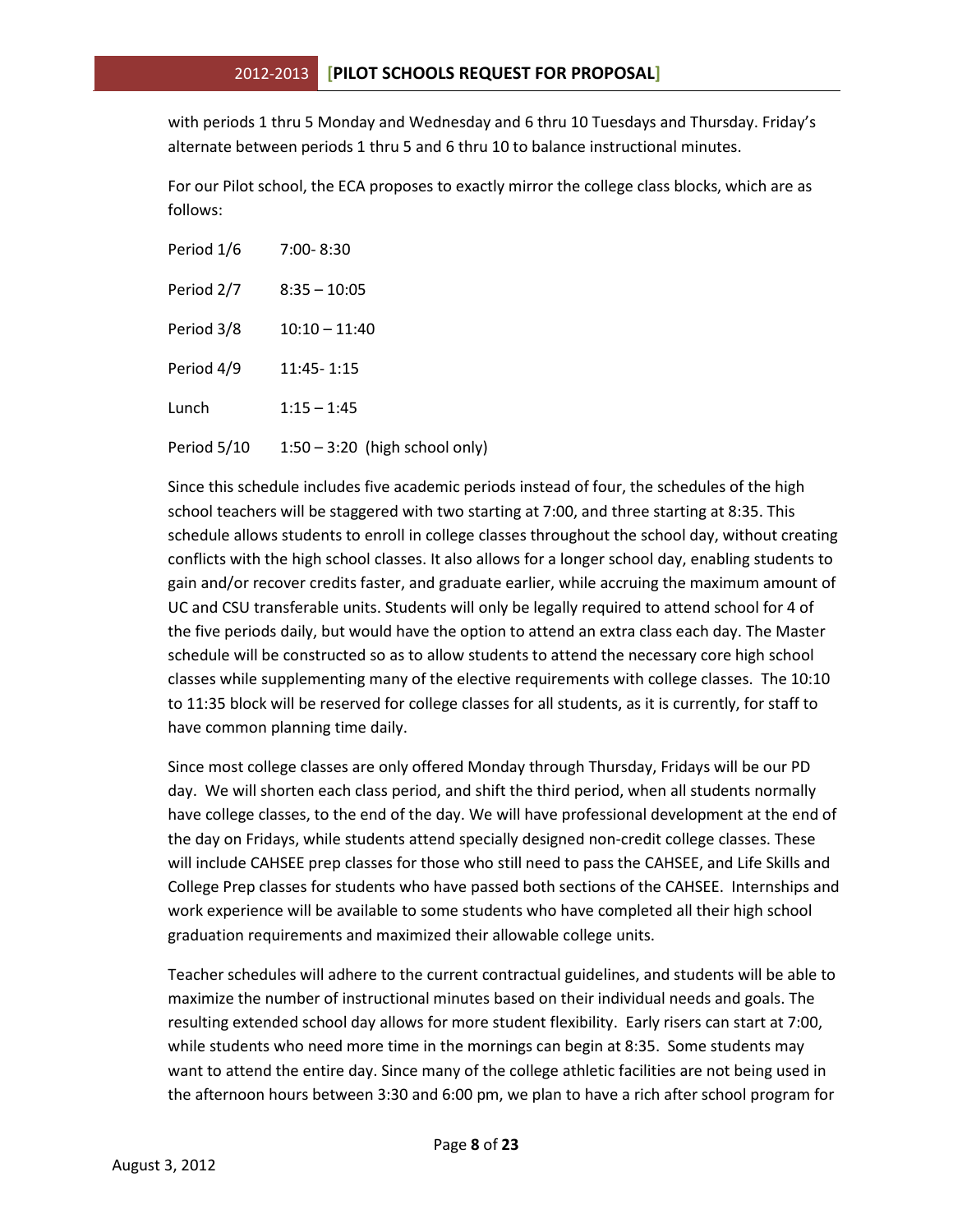with periods 1 thru 5 Monday and Wednesday and 6 thru 10 Tuesdays and Thursday. Friday's alternate between periods 1 thru 5 and 6 thru 10 to balance instructional minutes.

For our Pilot school, the ECA proposes to exactly mirror the college class blocks, which are as follows:

| Period 1/6  | $7:00 - 8:30$                    |
|-------------|----------------------------------|
| Period 2/7  | $8:35 - 10:05$                   |
| Period 3/8  | $10:10 - 11:40$                  |
| Period 4/9  | 11:45-1:15                       |
| Lunch       | $1:15 - 1:45$                    |
| Period 5/10 | $1:50 - 3:20$ (high school only) |

Since this schedule includes five academic periods instead of four, the schedules of the high school teachers will be staggered with two starting at 7:00, and three starting at 8:35. This schedule allows students to enroll in college classes throughout the school day, without creating conflicts with the high school classes. It also allows for a longer school day, enabling students to gain and/or recover credits faster, and graduate earlier, while accruing the maximum amount of UC and CSU transferable units. Students will only be legally required to attend school for 4 of the five periods daily, but would have the option to attend an extra class each day. The Master schedule will be constructed so as to allow students to attend the necessary core high school classes while supplementing many of the elective requirements with college classes. The 10:10 to 11:35 block will be reserved for college classes for all students, as it is currently, for staff to have common planning time daily.

Since most college classes are only offered Monday through Thursday, Fridays will be our PD day. We will shorten each class period, and shift the third period, when all students normally have college classes, to the end of the day. We will have professional development at the end of the day on Fridays, while students attend specially designed non-credit college classes. These will include CAHSEE prep classes for those who still need to pass the CAHSEE, and Life Skills and College Prep classes for students who have passed both sections of the CAHSEE. Internships and work experience will be available to some students who have completed all their high school graduation requirements and maximized their allowable college units.

Teacher schedules will adhere to the current contractual guidelines, and students will be able to maximize the number of instructional minutes based on their individual needs and goals. The resulting extended school day allows for more student flexibility. Early risers can start at 7:00, while students who need more time in the mornings can begin at 8:35. Some students may want to attend the entire day. Since many of the college athletic facilities are not being used in the afternoon hours between 3:30 and 6:00 pm, we plan to have a rich after school program for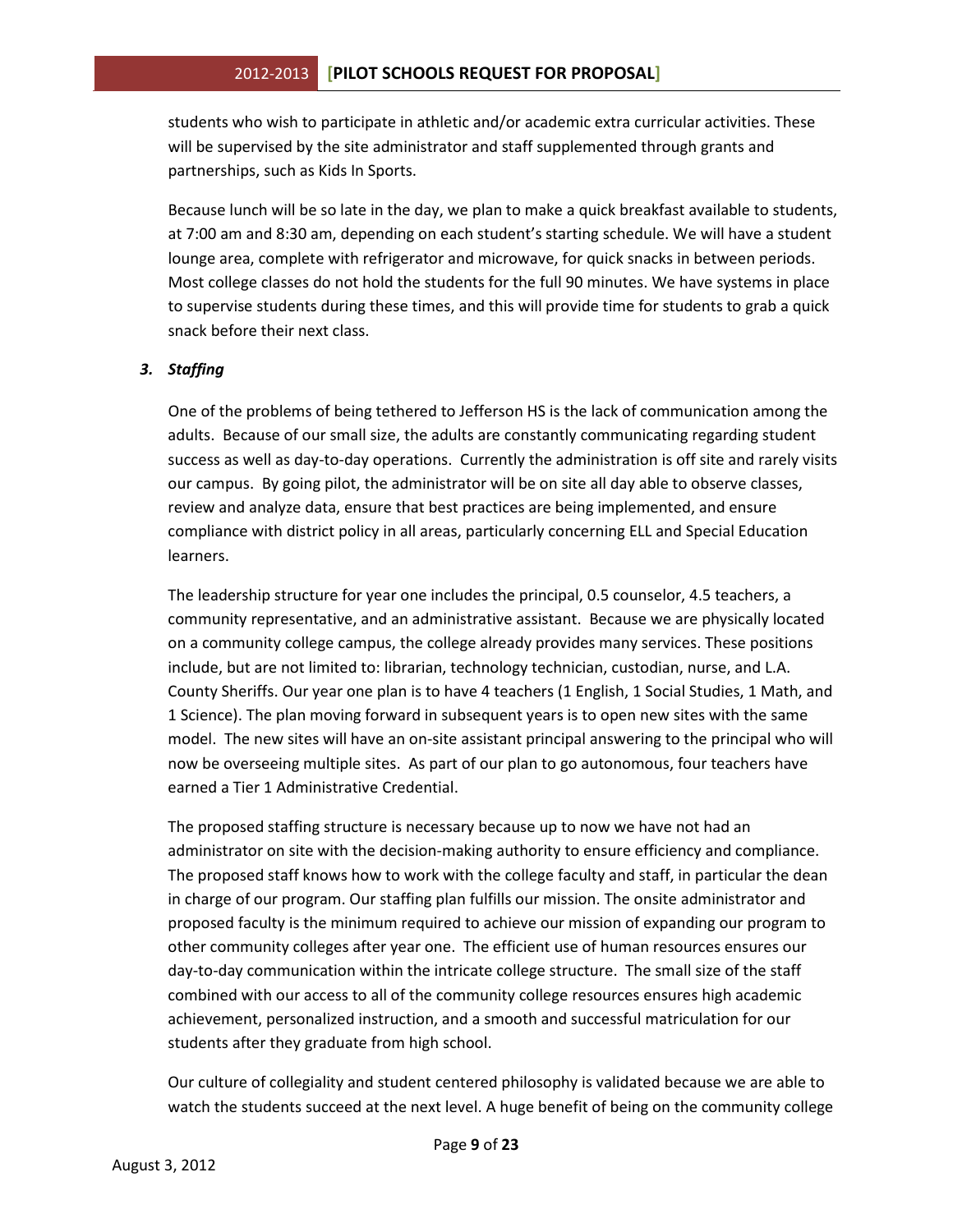students who wish to participate in athletic and/or academic extra curricular activities. These will be supervised by the site administrator and staff supplemented through grants and partnerships, such as Kids In Sports.

Because lunch will be so late in the day, we plan to make a quick breakfast available to students, at 7:00 am and 8:30 am, depending on each student's starting schedule. We will have a student lounge area, complete with refrigerator and microwave, for quick snacks in between periods. Most college classes do not hold the students for the full 90 minutes. We have systems in place to supervise students during these times, and this will provide time for students to grab a quick snack before their next class.

## *3. Staffing*

One of the problems of being tethered to Jefferson HS is the lack of communication among the adults. Because of our small size, the adults are constantly communicating regarding student success as well as day-to-day operations. Currently the administration is off site and rarely visits our campus. By going pilot, the administrator will be on site all day able to observe classes, review and analyze data, ensure that best practices are being implemented, and ensure compliance with district policy in all areas, particularly concerning ELL and Special Education learners.

The leadership structure for year one includes the principal, 0.5 counselor, 4.5 teachers, a community representative, and an administrative assistant. Because we are physically located on a community college campus, the college already provides many services. These positions include, but are not limited to: librarian, technology technician, custodian, nurse, and L.A. County Sheriffs. Our year one plan is to have 4 teachers (1 English, 1 Social Studies, 1 Math, and 1 Science). The plan moving forward in subsequent years is to open new sites with the same model. The new sites will have an on-site assistant principal answering to the principal who will now be overseeing multiple sites. As part of our plan to go autonomous, four teachers have earned a Tier 1 Administrative Credential.

The proposed staffing structure is necessary because up to now we have not had an administrator on site with the decision-making authority to ensure efficiency and compliance. The proposed staff knows how to work with the college faculty and staff, in particular the dean in charge of our program. Our staffing plan fulfills our mission. The onsite administrator and proposed faculty is the minimum required to achieve our mission of expanding our program to other community colleges after year one. The efficient use of human resources ensures our day-to-day communication within the intricate college structure. The small size of the staff combined with our access to all of the community college resources ensures high academic achievement, personalized instruction, and a smooth and successful matriculation for our students after they graduate from high school.

Our culture of collegiality and student centered philosophy is validated because we are able to watch the students succeed at the next level. A huge benefit of being on the community college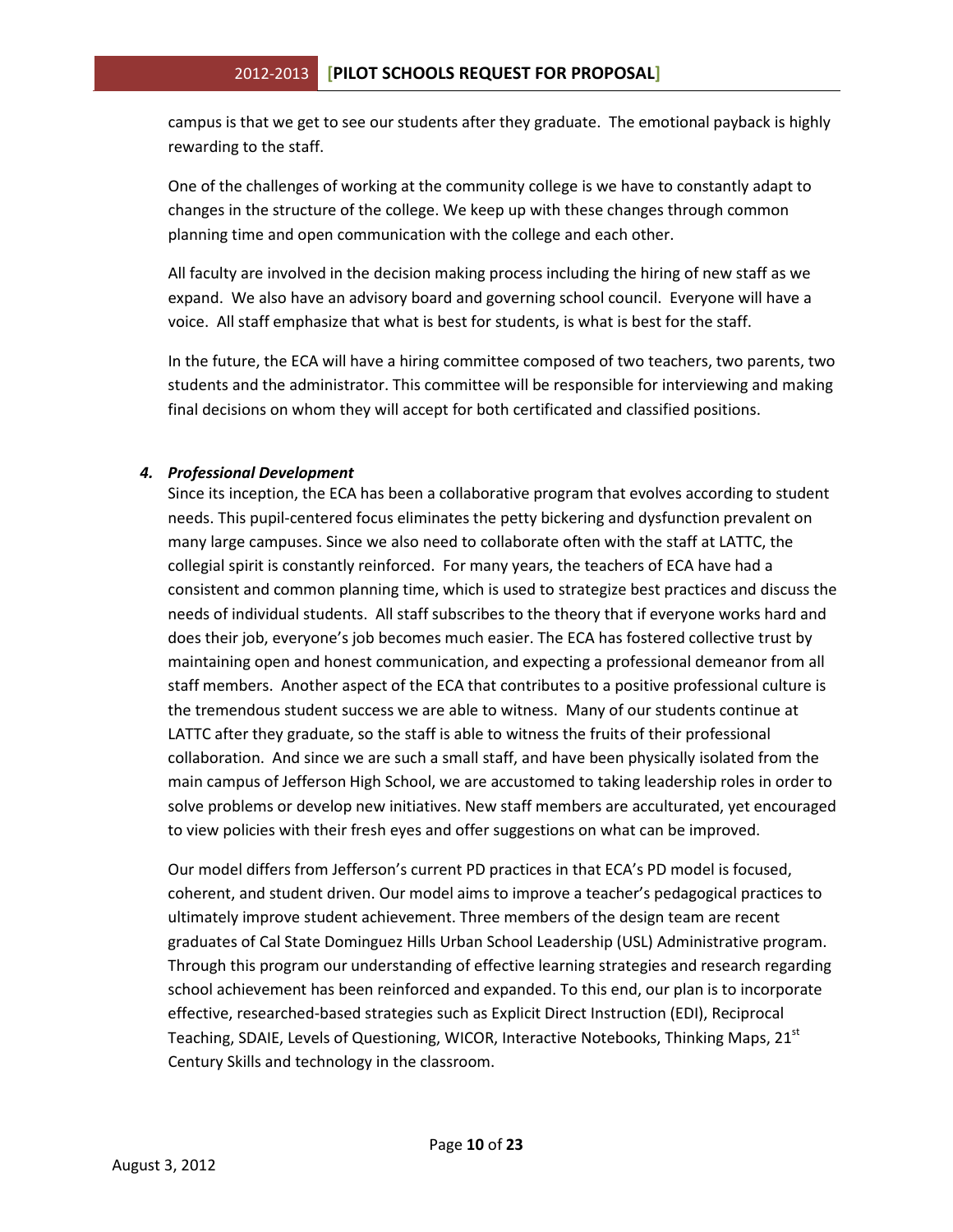campus is that we get to see our students after they graduate. The emotional payback is highly rewarding to the staff.

One of the challenges of working at the community college is we have to constantly adapt to changes in the structure of the college. We keep up with these changes through common planning time and open communication with the college and each other.

All faculty are involved in the decision making process including the hiring of new staff as we expand. We also have an advisory board and governing school council. Everyone will have a voice. All staff emphasize that what is best for students, is what is best for the staff.

In the future, the ECA will have a hiring committee composed of two teachers, two parents, two students and the administrator. This committee will be responsible for interviewing and making final decisions on whom they will accept for both certificated and classified positions.

## *4. Professional Development*

Since its inception, the ECA has been a collaborative program that evolves according to student needs. This pupil-centered focus eliminates the petty bickering and dysfunction prevalent on many large campuses. Since we also need to collaborate often with the staff at LATTC, the collegial spirit is constantly reinforced. For many years, the teachers of ECA have had a consistent and common planning time, which is used to strategize best practices and discuss the needs of individual students. All staff subscribes to the theory that if everyone works hard and does their job, everyone's job becomes much easier. The ECA has fostered collective trust by maintaining open and honest communication, and expecting a professional demeanor from all staff members. Another aspect of the ECA that contributes to a positive professional culture is the tremendous student success we are able to witness. Many of our students continue at LATTC after they graduate, so the staff is able to witness the fruits of their professional collaboration. And since we are such a small staff, and have been physically isolated from the main campus of Jefferson High School, we are accustomed to taking leadership roles in order to solve problems or develop new initiatives. New staff members are acculturated, yet encouraged to view policies with their fresh eyes and offer suggestions on what can be improved.

Our model differs from Jefferson's current PD practices in that ECA's PD model is focused, coherent, and student driven. Our model aims to improve a teacher's pedagogical practices to ultimately improve student achievement. Three members of the design team are recent graduates of Cal State Dominguez Hills Urban School Leadership (USL) Administrative program. Through this program our understanding of effective learning strategies and research regarding school achievement has been reinforced and expanded. To this end, our plan is to incorporate effective, researched-based strategies such as Explicit Direct Instruction (EDI), Reciprocal Teaching, SDAIE, Levels of Questioning, WICOR, Interactive Notebooks, Thinking Maps, 21<sup>st</sup> Century Skills and technology in the classroom.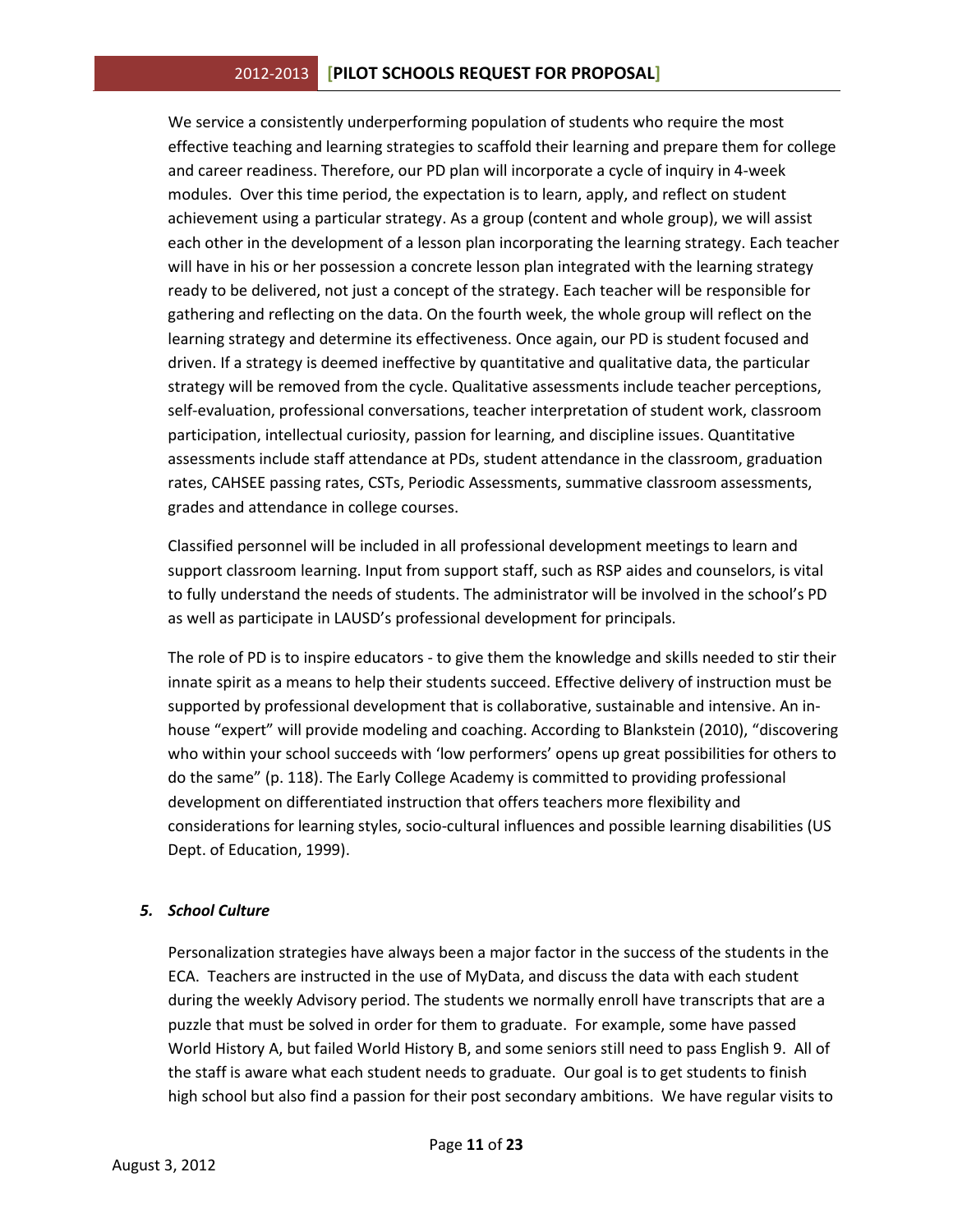We service a consistently underperforming population of students who require the most effective teaching and learning strategies to scaffold their learning and prepare them for college and career readiness. Therefore, our PD plan will incorporate a cycle of inquiry in 4-week modules. Over this time period, the expectation is to learn, apply, and reflect on student achievement using a particular strategy. As a group (content and whole group), we will assist each other in the development of a lesson plan incorporating the learning strategy. Each teacher will have in his or her possession a concrete lesson plan integrated with the learning strategy ready to be delivered, not just a concept of the strategy. Each teacher will be responsible for gathering and reflecting on the data. On the fourth week, the whole group will reflect on the learning strategy and determine its effectiveness. Once again, our PD is student focused and driven. If a strategy is deemed ineffective by quantitative and qualitative data, the particular strategy will be removed from the cycle. Qualitative assessments include teacher perceptions, self-evaluation, professional conversations, teacher interpretation of student work, classroom participation, intellectual curiosity, passion for learning, and discipline issues. Quantitative assessments include staff attendance at PDs, student attendance in the classroom, graduation rates, CAHSEE passing rates, CSTs, Periodic Assessments, summative classroom assessments, grades and attendance in college courses.

Classified personnel will be included in all professional development meetings to learn and support classroom learning. Input from support staff, such as RSP aides and counselors, is vital to fully understand the needs of students. The administrator will be involved in the school's PD as well as participate in LAUSD's professional development for principals.

The role of PD is to inspire educators - to give them the knowledge and skills needed to stir their innate spirit as a means to help their students succeed. Effective delivery of instruction must be supported by professional development that is collaborative, sustainable and intensive. An inhouse "expert" will provide modeling and coaching. According to Blankstein (2010), "discovering who within your school succeeds with 'low performers' opens up great possibilities for others to do the same" (p. 118). The Early College Academy is committed to providing professional development on differentiated instruction that offers teachers more flexibility and considerations for learning styles, socio-cultural influences and possible learning disabilities (US Dept. of Education, 1999).

#### *5. School Culture*

Personalization strategies have always been a major factor in the success of the students in the ECA. Teachers are instructed in the use of MyData, and discuss the data with each student during the weekly Advisory period. The students we normally enroll have transcripts that are a puzzle that must be solved in order for them to graduate. For example, some have passed World History A, but failed World History B, and some seniors still need to pass English 9. All of the staff is aware what each student needs to graduate. Our goal is to get students to finish high school but also find a passion for their post secondary ambitions. We have regular visits to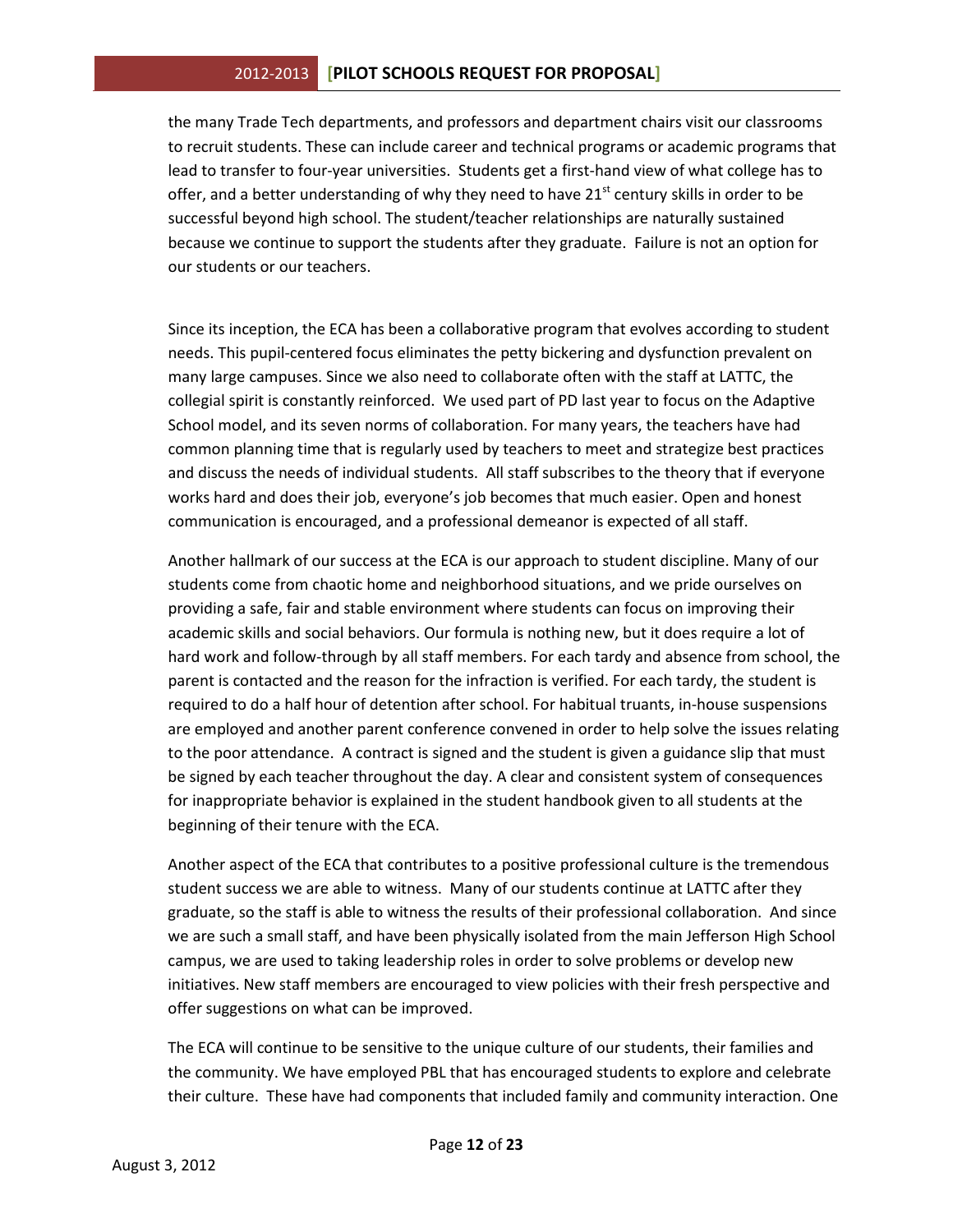the many Trade Tech departments, and professors and department chairs visit our classrooms to recruit students. These can include career and technical programs or academic programs that lead to transfer to four-year universities. Students get a first-hand view of what college has to offer, and a better understanding of why they need to have 21<sup>st</sup> century skills in order to be successful beyond high school. The student/teacher relationships are naturally sustained because we continue to support the students after they graduate. Failure is not an option for our students or our teachers.

Since its inception, the ECA has been a collaborative program that evolves according to student needs. This pupil-centered focus eliminates the petty bickering and dysfunction prevalent on many large campuses. Since we also need to collaborate often with the staff at LATTC, the collegial spirit is constantly reinforced. We used part of PD last year to focus on the Adaptive School model, and its seven norms of collaboration. For many years, the teachers have had common planning time that is regularly used by teachers to meet and strategize best practices and discuss the needs of individual students. All staff subscribes to the theory that if everyone works hard and does their job, everyone's job becomes that much easier. Open and honest communication is encouraged, and a professional demeanor is expected of all staff.

Another hallmark of our success at the ECA is our approach to student discipline. Many of our students come from chaotic home and neighborhood situations, and we pride ourselves on providing a safe, fair and stable environment where students can focus on improving their academic skills and social behaviors. Our formula is nothing new, but it does require a lot of hard work and follow-through by all staff members. For each tardy and absence from school, the parent is contacted and the reason for the infraction is verified. For each tardy, the student is required to do a half hour of detention after school. For habitual truants, in-house suspensions are employed and another parent conference convened in order to help solve the issues relating to the poor attendance. A contract is signed and the student is given a guidance slip that must be signed by each teacher throughout the day. A clear and consistent system of consequences for inappropriate behavior is explained in the student handbook given to all students at the beginning of their tenure with the ECA.

Another aspect of the ECA that contributes to a positive professional culture is the tremendous student success we are able to witness. Many of our students continue at LATTC after they graduate, so the staff is able to witness the results of their professional collaboration. And since we are such a small staff, and have been physically isolated from the main Jefferson High School campus, we are used to taking leadership roles in order to solve problems or develop new initiatives. New staff members are encouraged to view policies with their fresh perspective and offer suggestions on what can be improved.

The ECA will continue to be sensitive to the unique culture of our students, their families and the community. We have employed PBL that has encouraged students to explore and celebrate their culture. These have had components that included family and community interaction. One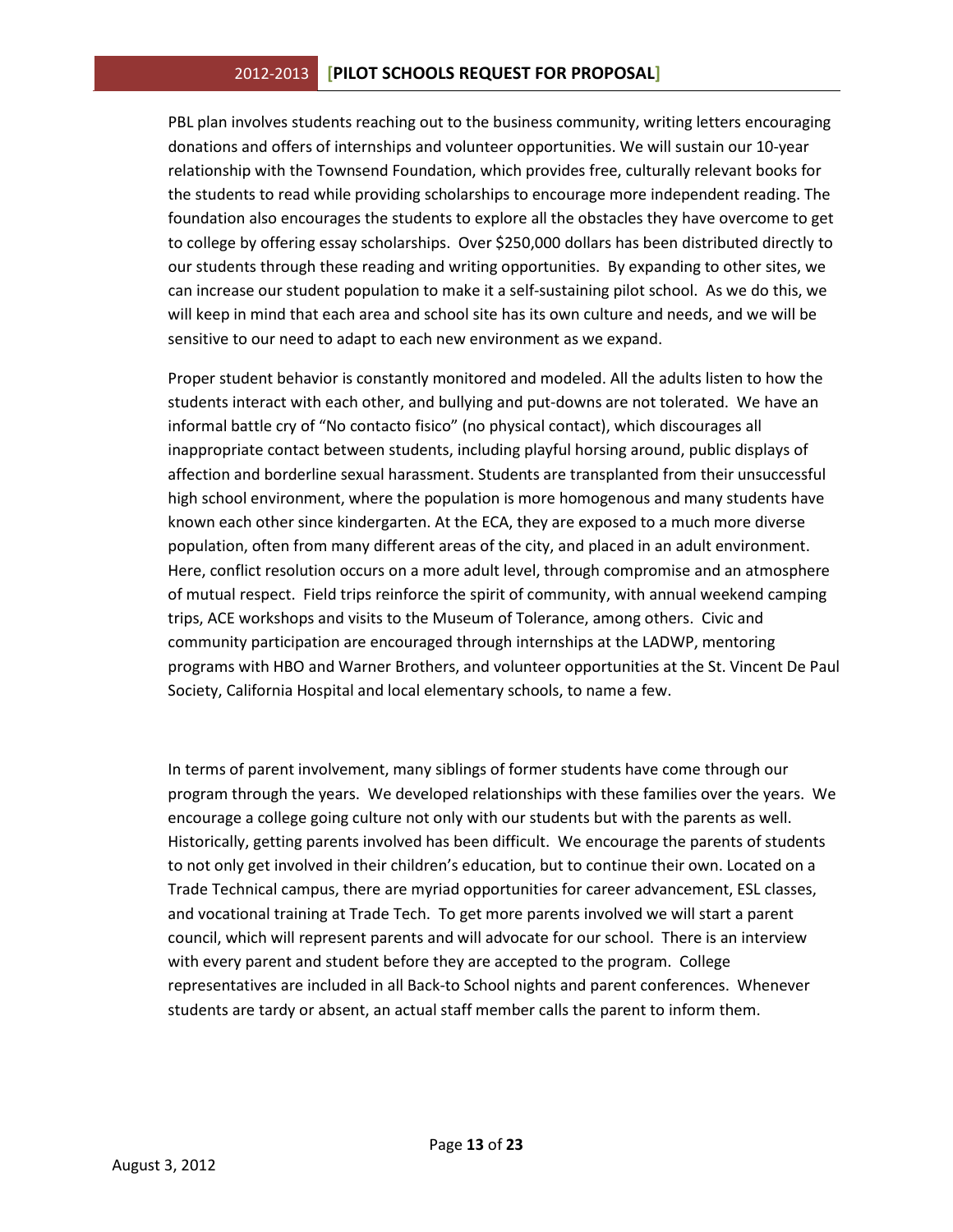PBL plan involves students reaching out to the business community, writing letters encouraging donations and offers of internships and volunteer opportunities. We will sustain our 10-year relationship with the Townsend Foundation, which provides free, culturally relevant books for the students to read while providing scholarships to encourage more independent reading. The foundation also encourages the students to explore all the obstacles they have overcome to get to college by offering essay scholarships. Over \$250,000 dollars has been distributed directly to our students through these reading and writing opportunities. By expanding to other sites, we can increase our student population to make it a self-sustaining pilot school. As we do this, we will keep in mind that each area and school site has its own culture and needs, and we will be sensitive to our need to adapt to each new environment as we expand.

Proper student behavior is constantly monitored and modeled. All the adults listen to how the students interact with each other, and bullying and put-downs are not tolerated. We have an informal battle cry of "No contacto fisico" (no physical contact), which discourages all inappropriate contact between students, including playful horsing around, public displays of affection and borderline sexual harassment. Students are transplanted from their unsuccessful high school environment, where the population is more homogenous and many students have known each other since kindergarten. At the ECA, they are exposed to a much more diverse population, often from many different areas of the city, and placed in an adult environment. Here, conflict resolution occurs on a more adult level, through compromise and an atmosphere of mutual respect. Field trips reinforce the spirit of community, with annual weekend camping trips, ACE workshops and visits to the Museum of Tolerance, among others. Civic and community participation are encouraged through internships at the LADWP, mentoring programs with HBO and Warner Brothers, and volunteer opportunities at the St. Vincent De Paul Society, California Hospital and local elementary schools, to name a few.

In terms of parent involvement, many siblings of former students have come through our program through the years. We developed relationships with these families over the years. We encourage a college going culture not only with our students but with the parents as well. Historically, getting parents involved has been difficult. We encourage the parents of students to not only get involved in their children's education, but to continue their own. Located on a Trade Technical campus, there are myriad opportunities for career advancement, ESL classes, and vocational training at Trade Tech. To get more parents involved we will start a parent council, which will represent parents and will advocate for our school. There is an interview with every parent and student before they are accepted to the program. College representatives are included in all Back-to School nights and parent conferences. Whenever students are tardy or absent, an actual staff member calls the parent to inform them.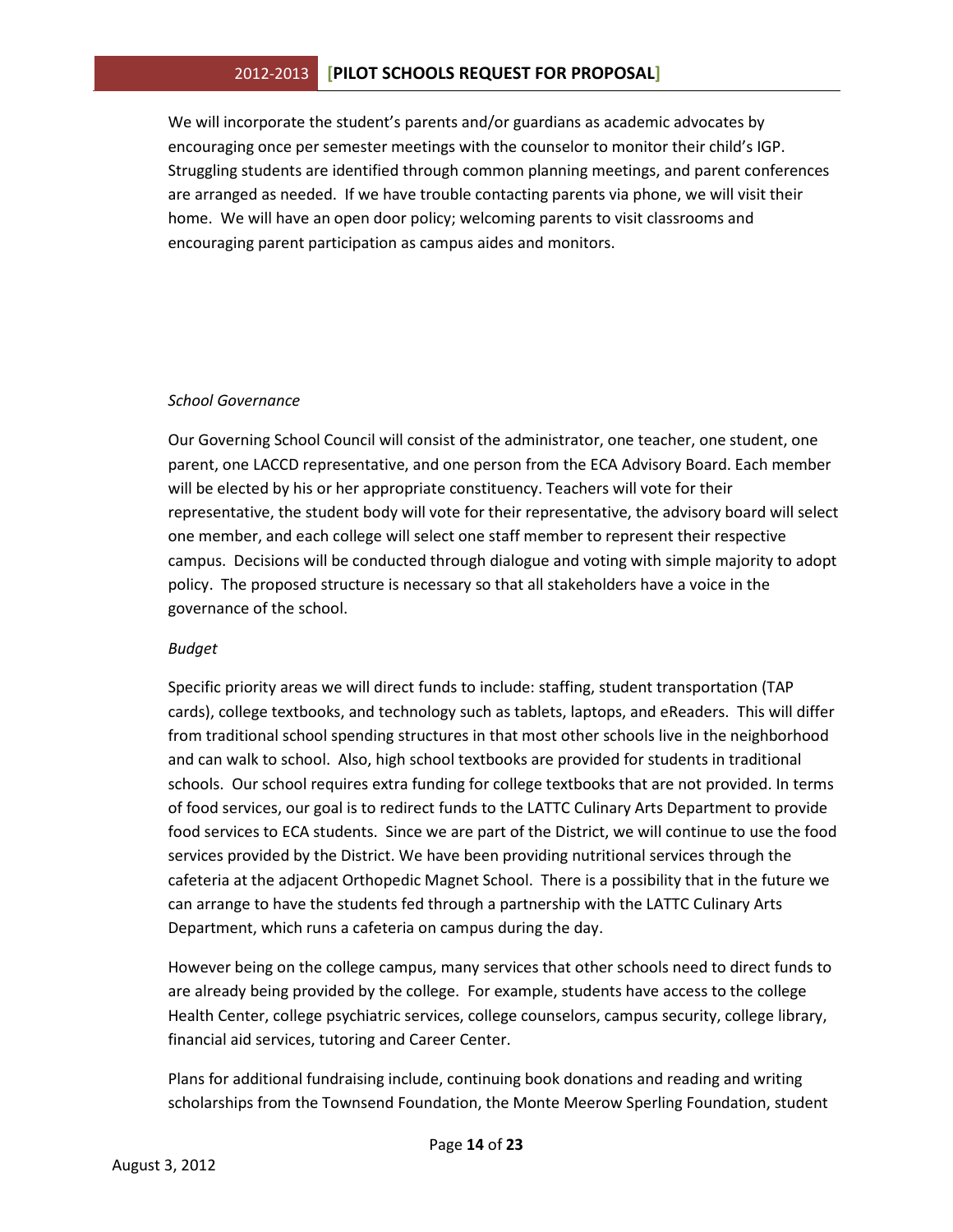We will incorporate the student's parents and/or guardians as academic advocates by encouraging once per semester meetings with the counselor to monitor their child's IGP. Struggling students are identified through common planning meetings, and parent conferences are arranged as needed. If we have trouble contacting parents via phone, we will visit their home. We will have an open door policy; welcoming parents to visit classrooms and encouraging parent participation as campus aides and monitors.

#### *School Governance*

Our Governing School Council will consist of the administrator, one teacher, one student, one parent, one LACCD representative, and one person from the ECA Advisory Board. Each member will be elected by his or her appropriate constituency. Teachers will vote for their representative, the student body will vote for their representative, the advisory board will select one member, and each college will select one staff member to represent their respective campus. Decisions will be conducted through dialogue and voting with simple majority to adopt policy. The proposed structure is necessary so that all stakeholders have a voice in the governance of the school.

## *Budget*

Specific priority areas we will direct funds to include: staffing, student transportation (TAP cards), college textbooks, and technology such as tablets, laptops, and eReaders. This will differ from traditional school spending structures in that most other schools live in the neighborhood and can walk to school. Also, high school textbooks are provided for students in traditional schools. Our school requires extra funding for college textbooks that are not provided. In terms of food services, our goal is to redirect funds to the LATTC Culinary Arts Department to provide food services to ECA students. Since we are part of the District, we will continue to use the food services provided by the District. We have been providing nutritional services through the cafeteria at the adjacent Orthopedic Magnet School. There is a possibility that in the future we can arrange to have the students fed through a partnership with the LATTC Culinary Arts Department, which runs a cafeteria on campus during the day.

However being on the college campus, many services that other schools need to direct funds to are already being provided by the college. For example, students have access to the college Health Center, college psychiatric services, college counselors, campus security, college library, financial aid services, tutoring and Career Center.

Plans for additional fundraising include, continuing book donations and reading and writing scholarships from the Townsend Foundation, the Monte Meerow Sperling Foundation, student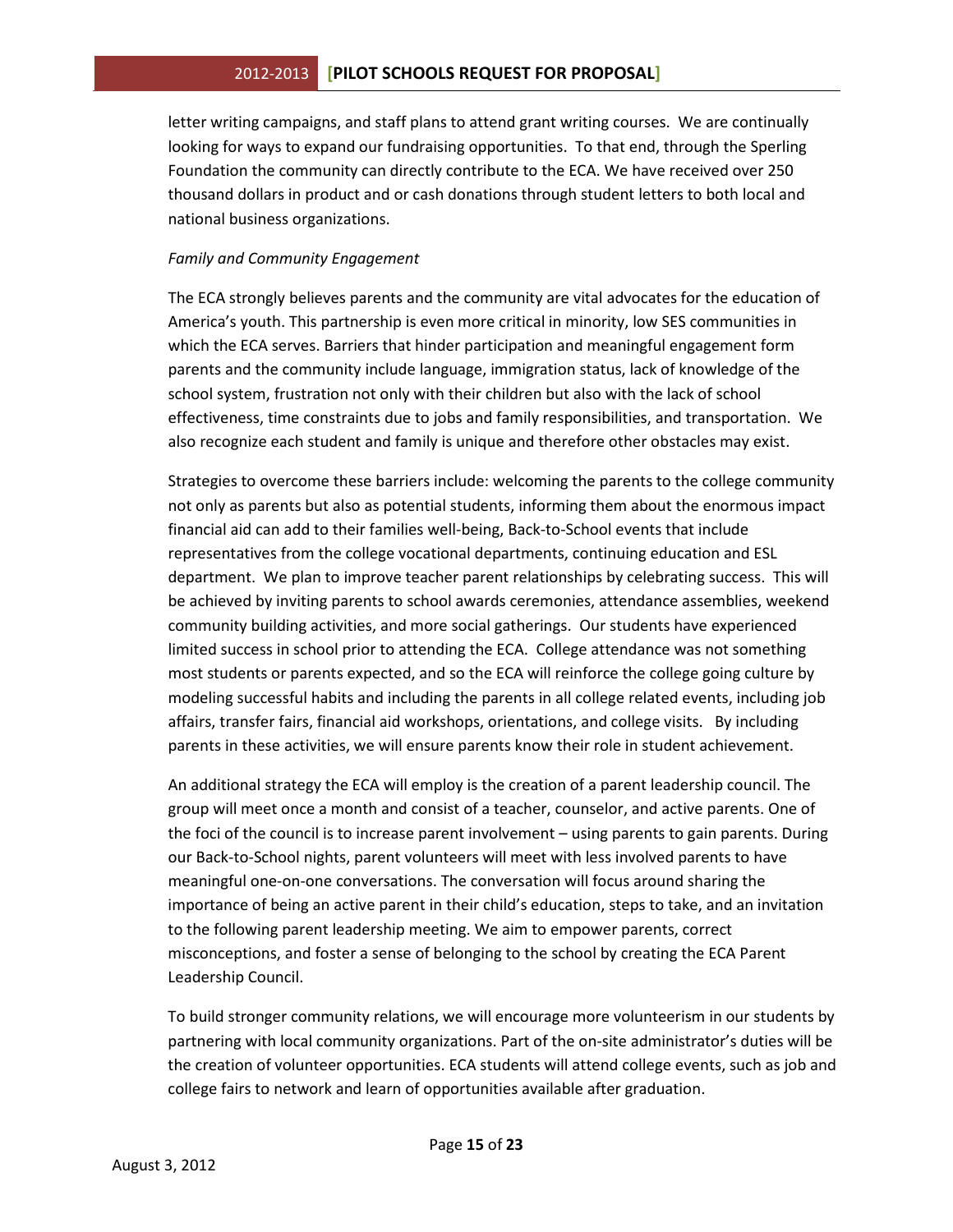letter writing campaigns, and staff plans to attend grant writing courses. We are continually looking for ways to expand our fundraising opportunities. To that end, through the Sperling Foundation the community can directly contribute to the ECA. We have received over 250 thousand dollars in product and or cash donations through student letters to both local and national business organizations.

### *Family and Community Engagement*

The ECA strongly believes parents and the community are vital advocates for the education of America's youth. This partnership is even more critical in minority, low SES communities in which the ECA serves. Barriers that hinder participation and meaningful engagement form parents and the community include language, immigration status, lack of knowledge of the school system, frustration not only with their children but also with the lack of school effectiveness, time constraints due to jobs and family responsibilities, and transportation. We also recognize each student and family is unique and therefore other obstacles may exist.

Strategies to overcome these barriers include: welcoming the parents to the college community not only as parents but also as potential students, informing them about the enormous impact financial aid can add to their families well-being, Back-to-School events that include representatives from the college vocational departments, continuing education and ESL department. We plan to improve teacher parent relationships by celebrating success. This will be achieved by inviting parents to school awards ceremonies, attendance assemblies, weekend community building activities, and more social gatherings. Our students have experienced limited success in school prior to attending the ECA. College attendance was not something most students or parents expected, and so the ECA will reinforce the college going culture by modeling successful habits and including the parents in all college related events, including job affairs, transfer fairs, financial aid workshops, orientations, and college visits. By including parents in these activities, we will ensure parents know their role in student achievement.

An additional strategy the ECA will employ is the creation of a parent leadership council. The group will meet once a month and consist of a teacher, counselor, and active parents. One of the foci of the council is to increase parent involvement – using parents to gain parents. During our Back-to-School nights, parent volunteers will meet with less involved parents to have meaningful one-on-one conversations. The conversation will focus around sharing the importance of being an active parent in their child's education, steps to take, and an invitation to the following parent leadership meeting. We aim to empower parents, correct misconceptions, and foster a sense of belonging to the school by creating the ECA Parent Leadership Council.

To build stronger community relations, we will encourage more volunteerism in our students by partnering with local community organizations. Part of the on-site administrator's duties will be the creation of volunteer opportunities. ECA students will attend college events, such as job and college fairs to network and learn of opportunities available after graduation.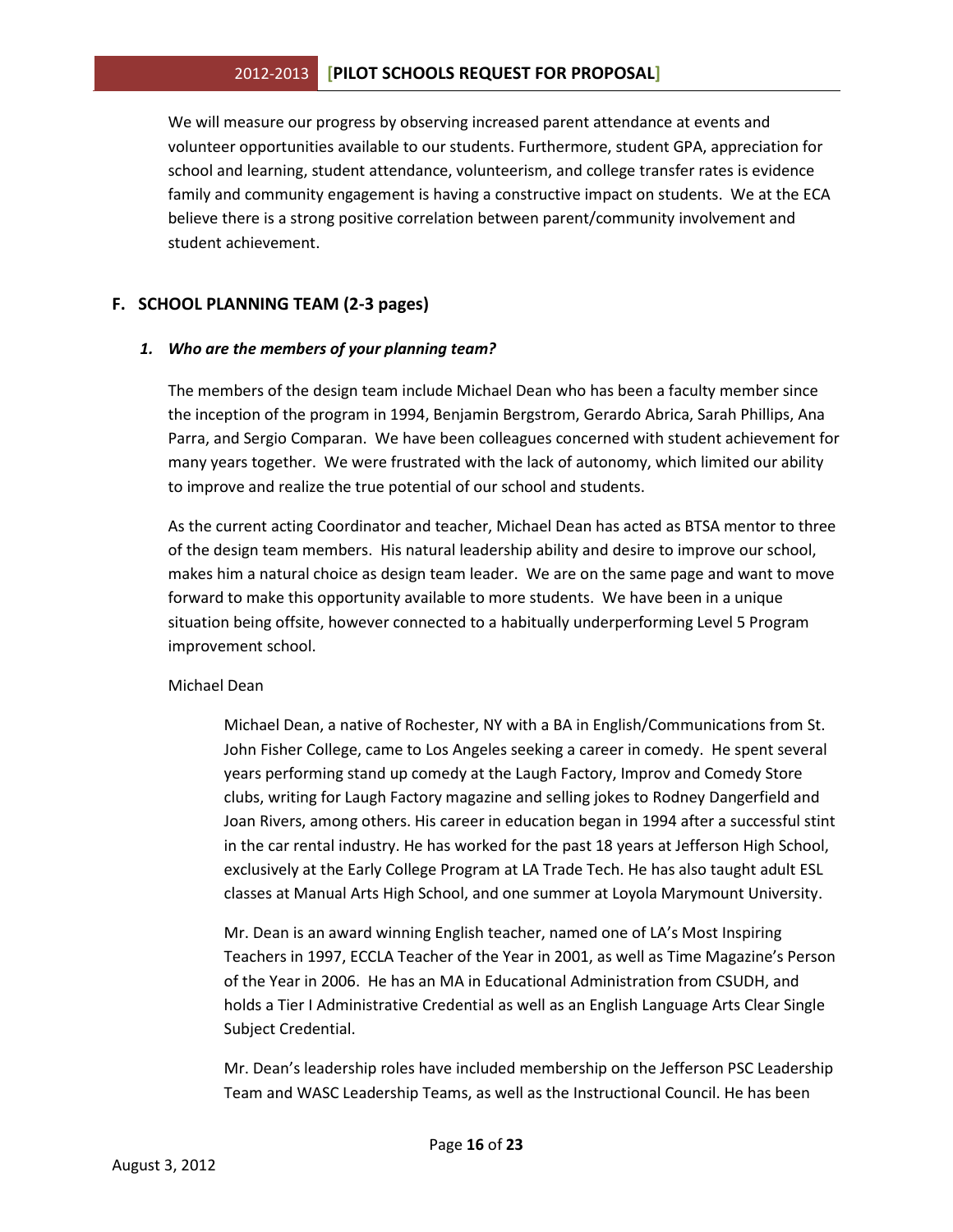We will measure our progress by observing increased parent attendance at events and volunteer opportunities available to our students. Furthermore, student GPA, appreciation for school and learning, student attendance, volunteerism, and college transfer rates is evidence family and community engagement is having a constructive impact on students. We at the ECA believe there is a strong positive correlation between parent/community involvement and student achievement.

## **F. SCHOOL PLANNING TEAM (2-3 pages)**

#### *1. Who are the members of your planning team?*

The members of the design team include Michael Dean who has been a faculty member since the inception of the program in 1994, Benjamin Bergstrom, Gerardo Abrica, Sarah Phillips, Ana Parra, and Sergio Comparan. We have been colleagues concerned with student achievement for many years together. We were frustrated with the lack of autonomy, which limited our ability to improve and realize the true potential of our school and students.

As the current acting Coordinator and teacher, Michael Dean has acted as BTSA mentor to three of the design team members. His natural leadership ability and desire to improve our school, makes him a natural choice as design team leader. We are on the same page and want to move forward to make this opportunity available to more students. We have been in a unique situation being offsite, however connected to a habitually underperforming Level 5 Program improvement school.

#### Michael Dean

Michael Dean, a native of Rochester, NY with a BA in English/Communications from St. John Fisher College, came to Los Angeles seeking a career in comedy. He spent several years performing stand up comedy at the Laugh Factory, Improv and Comedy Store clubs, writing for Laugh Factory magazine and selling jokes to Rodney Dangerfield and Joan Rivers, among others. His career in education began in 1994 after a successful stint in the car rental industry. He has worked for the past 18 years at Jefferson High School, exclusively at the Early College Program at LA Trade Tech. He has also taught adult ESL classes at Manual Arts High School, and one summer at Loyola Marymount University.

Mr. Dean is an award winning English teacher, named one of LA's Most Inspiring Teachers in 1997, ECCLA Teacher of the Year in 2001, as well as Time Magazine's Person of the Year in 2006. He has an MA in Educational Administration from CSUDH, and holds a Tier I Administrative Credential as well as an English Language Arts Clear Single Subject Credential.

Mr. Dean's leadership roles have included membership on the Jefferson PSC Leadership Team and WASC Leadership Teams, as well as the Instructional Council. He has been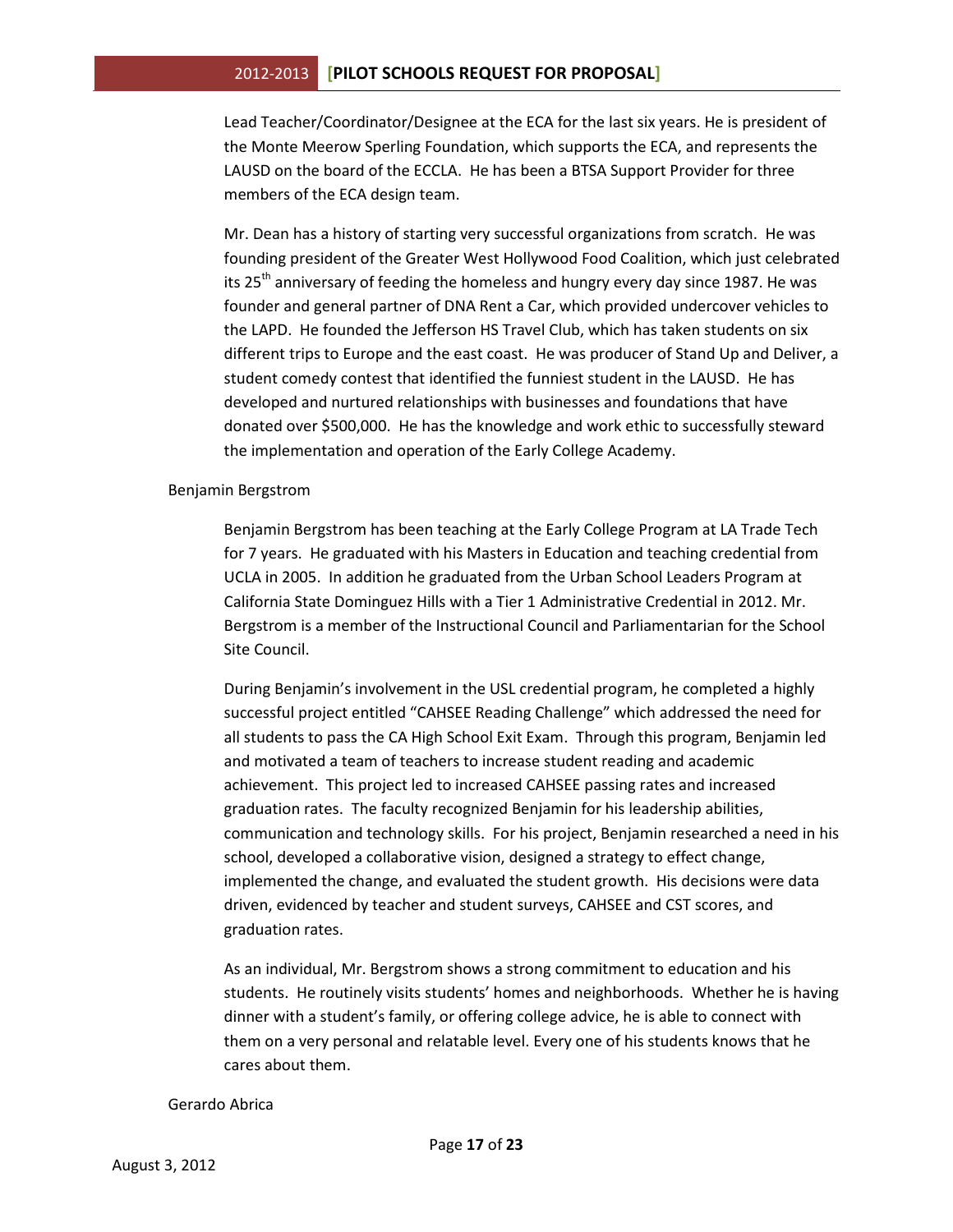Lead Teacher/Coordinator/Designee at the ECA for the last six years. He is president of the Monte Meerow Sperling Foundation, which supports the ECA, and represents the LAUSD on the board of the ECCLA. He has been a BTSA Support Provider for three members of the ECA design team.

Mr. Dean has a history of starting very successful organizations from scratch. He was founding president of the Greater West Hollywood Food Coalition, which just celebrated its 25<sup>th</sup> anniversary of feeding the homeless and hungry every day since 1987. He was founder and general partner of DNA Rent a Car, which provided undercover vehicles to the LAPD. He founded the Jefferson HS Travel Club, which has taken students on six different trips to Europe and the east coast. He was producer of Stand Up and Deliver, a student comedy contest that identified the funniest student in the LAUSD. He has developed and nurtured relationships with businesses and foundations that have donated over \$500,000. He has the knowledge and work ethic to successfully steward the implementation and operation of the Early College Academy.

#### Benjamin Bergstrom

Benjamin Bergstrom has been teaching at the Early College Program at LA Trade Tech for 7 years. He graduated with his Masters in Education and teaching credential from UCLA in 2005. In addition he graduated from the Urban School Leaders Program at California State Dominguez Hills with a Tier 1 Administrative Credential in 2012. Mr. Bergstrom is a member of the Instructional Council and Parliamentarian for the School Site Council.

During Benjamin's involvement in the USL credential program, he completed a highly successful project entitled "CAHSEE Reading Challenge" which addressed the need for all students to pass the CA High School Exit Exam. Through this program, Benjamin led and motivated a team of teachers to increase student reading and academic achievement. This project led to increased CAHSEE passing rates and increased graduation rates. The faculty recognized Benjamin for his leadership abilities, communication and technology skills. For his project, Benjamin researched a need in his school, developed a collaborative vision, designed a strategy to effect change, implemented the change, and evaluated the student growth. His decisions were data driven, evidenced by teacher and student surveys, CAHSEE and CST scores, and graduation rates.

As an individual, Mr. Bergstrom shows a strong commitment to education and his students. He routinely visits students' homes and neighborhoods. Whether he is having dinner with a student's family, or offering college advice, he is able to connect with them on a very personal and relatable level. Every one of his students knows that he cares about them.

#### Gerardo Abrica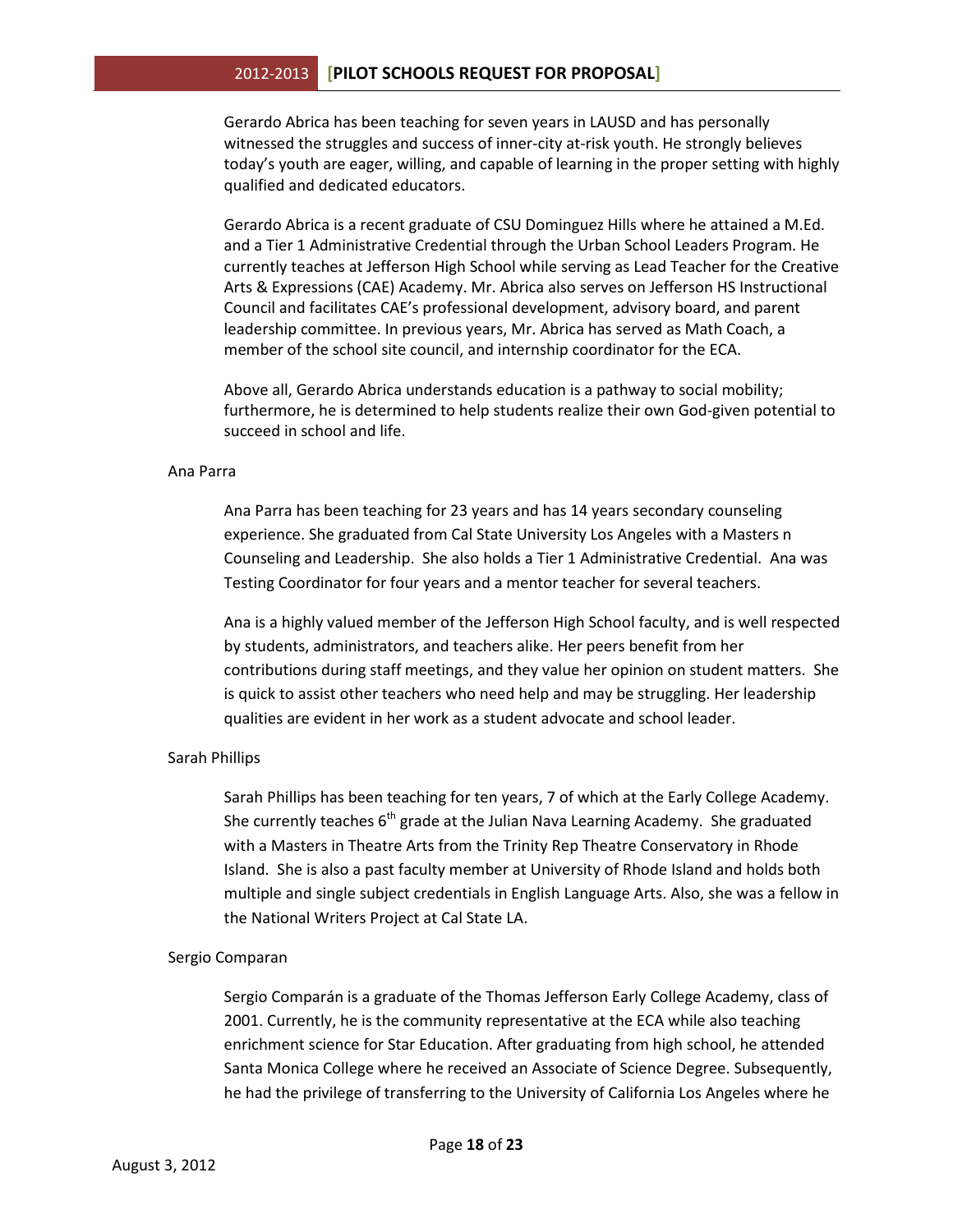Gerardo Abrica has been teaching for seven years in LAUSD and has personally witnessed the struggles and success of inner-city at-risk youth. He strongly believes today's youth are eager, willing, and capable of learning in the proper setting with highly qualified and dedicated educators.

Gerardo Abrica is a recent graduate of CSU Dominguez Hills where he attained a M.Ed. and a Tier 1 Administrative Credential through the Urban School Leaders Program. He currently teaches at Jefferson High School while serving as Lead Teacher for the Creative Arts & Expressions (CAE) Academy. Mr. Abrica also serves on Jefferson HS Instructional Council and facilitates CAE's professional development, advisory board, and parent leadership committee. In previous years, Mr. Abrica has served as Math Coach, a member of the school site council, and internship coordinator for the ECA.

Above all, Gerardo Abrica understands education is a pathway to social mobility; furthermore, he is determined to help students realize their own God-given potential to succeed in school and life.

#### Ana Parra

Ana Parra has been teaching for 23 years and has 14 years secondary counseling experience. She graduated from Cal State University Los Angeles with a Masters n Counseling and Leadership. She also holds a Tier 1 Administrative Credential. Ana was Testing Coordinator for four years and a mentor teacher for several teachers.

Ana is a highly valued member of the Jefferson High School faculty, and is well respected by students, administrators, and teachers alike. Her peers benefit from her contributions during staff meetings, and they value her opinion on student matters. She is quick to assist other teachers who need help and may be struggling. Her leadership qualities are evident in her work as a student advocate and school leader.

#### Sarah Phillips

Sarah Phillips has been teaching for ten years, 7 of which at the Early College Academy. She currently teaches  $6<sup>th</sup>$  grade at the Julian Nava Learning Academy. She graduated with a Masters in Theatre Arts from the Trinity Rep Theatre Conservatory in Rhode Island. She is also a past faculty member at University of Rhode Island and holds both multiple and single subject credentials in English Language Arts. Also, she was a fellow in the National Writers Project at Cal State LA.

#### Sergio Comparan

Sergio Comparán is a graduate of the Thomas Jefferson Early College Academy, class of 2001. Currently, he is the community representative at the ECA while also teaching enrichment science for Star Education. After graduating from high school, he attended Santa Monica College where he received an Associate of Science Degree. Subsequently, he had the privilege of transferring to the University of California Los Angeles where he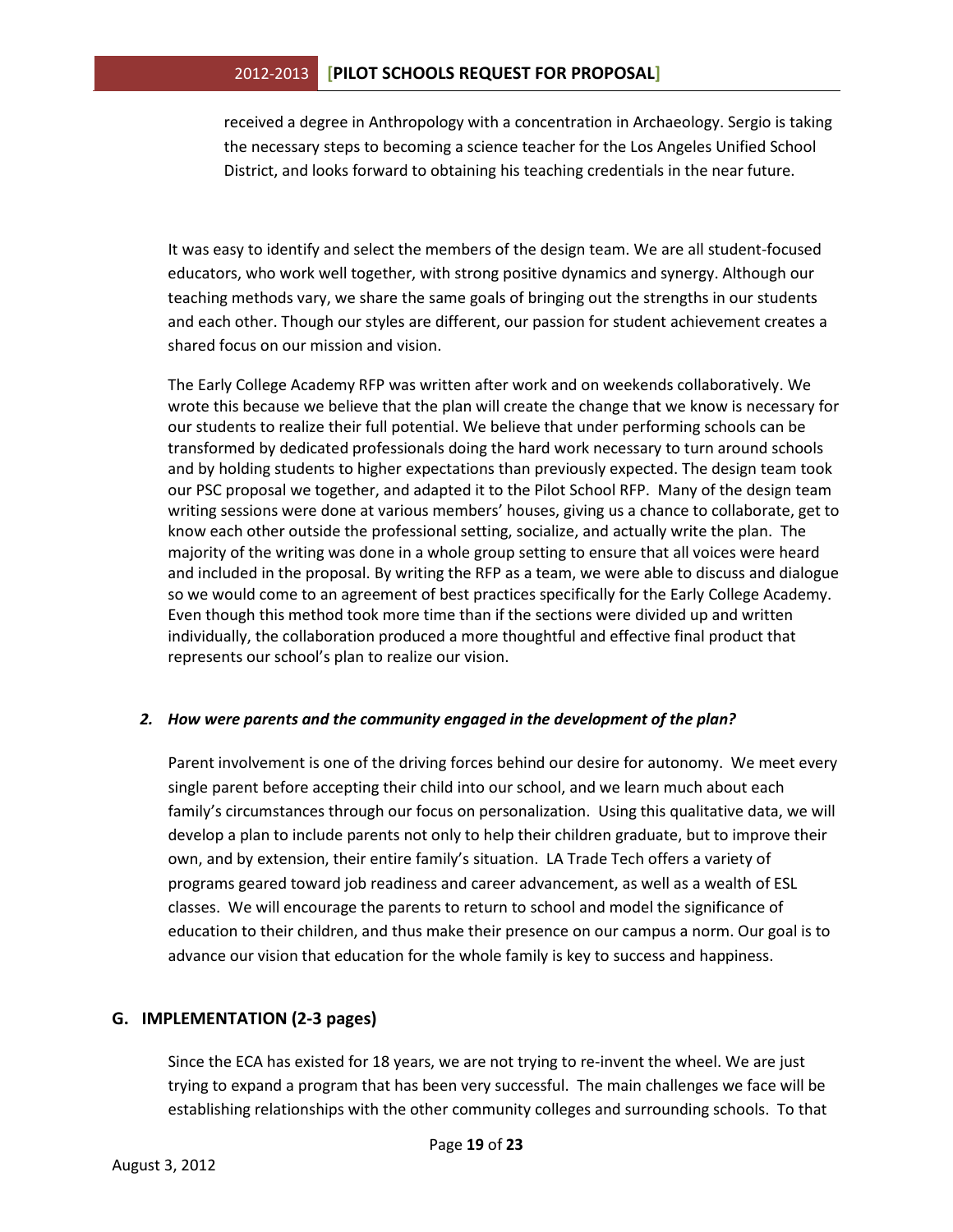received a degree in Anthropology with a concentration in Archaeology. Sergio is taking the necessary steps to becoming a science teacher for the Los Angeles Unified School District, and looks forward to obtaining his teaching credentials in the near future.

It was easy to identify and select the members of the design team. We are all student-focused educators, who work well together, with strong positive dynamics and synergy. Although our teaching methods vary, we share the same goals of bringing out the strengths in our students and each other. Though our styles are different, our passion for student achievement creates a shared focus on our mission and vision.

The Early College Academy RFP was written after work and on weekends collaboratively. We wrote this because we believe that the plan will create the change that we know is necessary for our students to realize their full potential. We believe that under performing schools can be transformed by dedicated professionals doing the hard work necessary to turn around schools and by holding students to higher expectations than previously expected. The design team took our PSC proposal we together, and adapted it to the Pilot School RFP. Many of the design team writing sessions were done at various members' houses, giving us a chance to collaborate, get to know each other outside the professional setting, socialize, and actually write the plan. The majority of the writing was done in a whole group setting to ensure that all voices were heard and included in the proposal. By writing the RFP as a team, we were able to discuss and dialogue so we would come to an agreement of best practices specifically for the Early College Academy. Even though this method took more time than if the sections were divided up and written individually, the collaboration produced a more thoughtful and effective final product that represents our school's plan to realize our vision.

## *2. How were parents and the community engaged in the development of the plan?*

Parent involvement is one of the driving forces behind our desire for autonomy. We meet every single parent before accepting their child into our school, and we learn much about each family's circumstances through our focus on personalization. Using this qualitative data, we will develop a plan to include parents not only to help their children graduate, but to improve their own, and by extension, their entire family's situation. LA Trade Tech offers a variety of programs geared toward job readiness and career advancement, as well as a wealth of ESL classes. We will encourage the parents to return to school and model the significance of education to their children, and thus make their presence on our campus a norm. Our goal is to advance our vision that education for the whole family is key to success and happiness.

## **G. IMPLEMENTATION (2-3 pages)**

Since the ECA has existed for 18 years, we are not trying to re-invent the wheel. We are just trying to expand a program that has been very successful. The main challenges we face will be establishing relationships with the other community colleges and surrounding schools. To that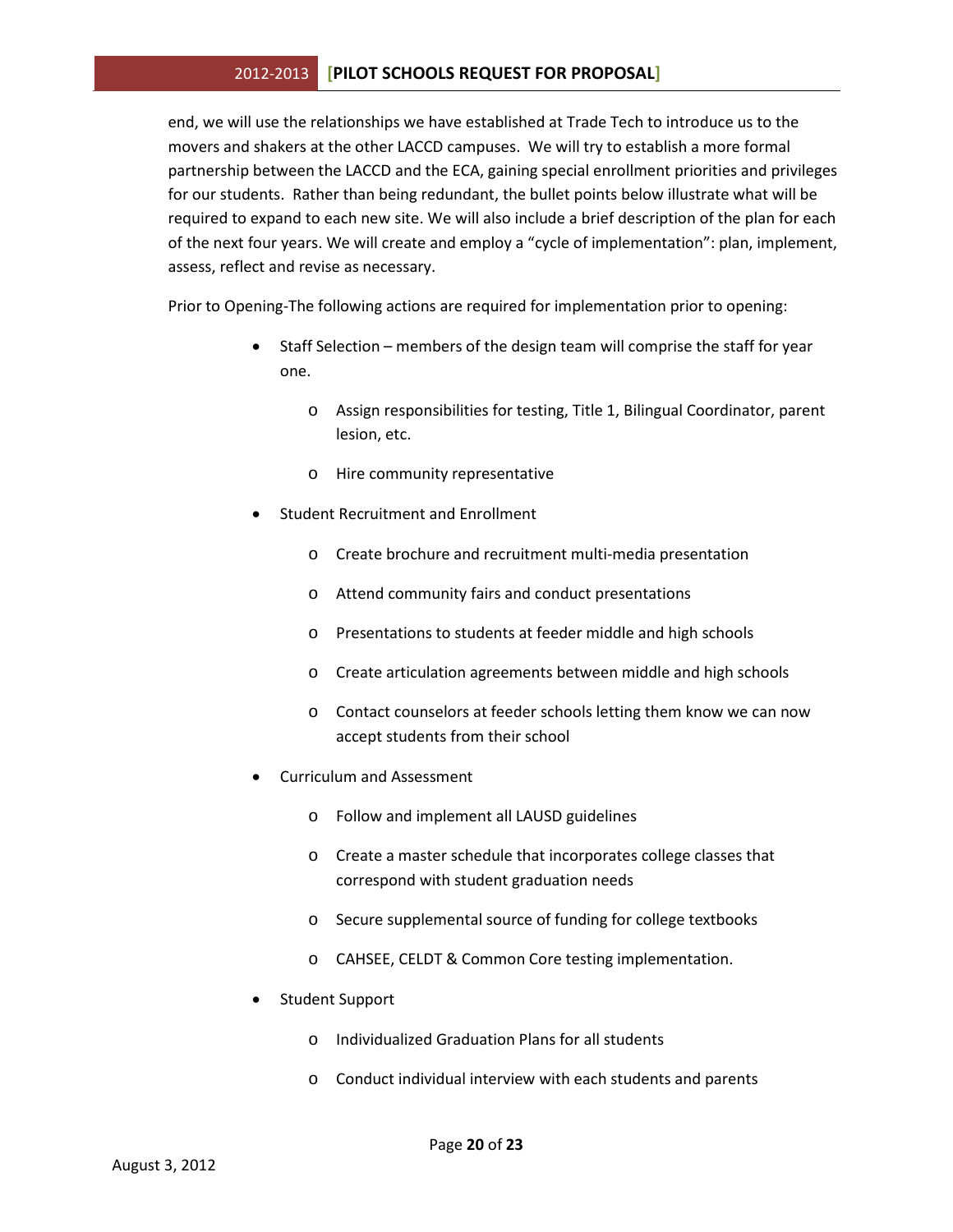end, we will use the relationships we have established at Trade Tech to introduce us to the movers and shakers at the other LACCD campuses. We will try to establish a more formal partnership between the LACCD and the ECA, gaining special enrollment priorities and privileges for our students. Rather than being redundant, the bullet points below illustrate what will be required to expand to each new site. We will also include a brief description of the plan for each of the next four years. We will create and employ a "cycle of implementation": plan, implement, assess, reflect and revise as necessary.

Prior to Opening-The following actions are required for implementation prior to opening:

- Staff Selection members of the design team will comprise the staff for year one.
	- o Assign responsibilities for testing, Title 1, Bilingual Coordinator, parent lesion, etc.
	- o Hire community representative
- Student Recruitment and Enrollment
	- o Create brochure and recruitment multi-media presentation
	- o Attend community fairs and conduct presentations
	- o Presentations to students at feeder middle and high schools
	- o Create articulation agreements between middle and high schools
	- o Contact counselors at feeder schools letting them know we can now accept students from their school
- Curriculum and Assessment
	- o Follow and implement all LAUSD guidelines
	- o Create a master schedule that incorporates college classes that correspond with student graduation needs
	- o Secure supplemental source of funding for college textbooks
	- o CAHSEE, CELDT & Common Core testing implementation.
- Student Support
	- o Individualized Graduation Plans for all students
	- o Conduct individual interview with each students and parents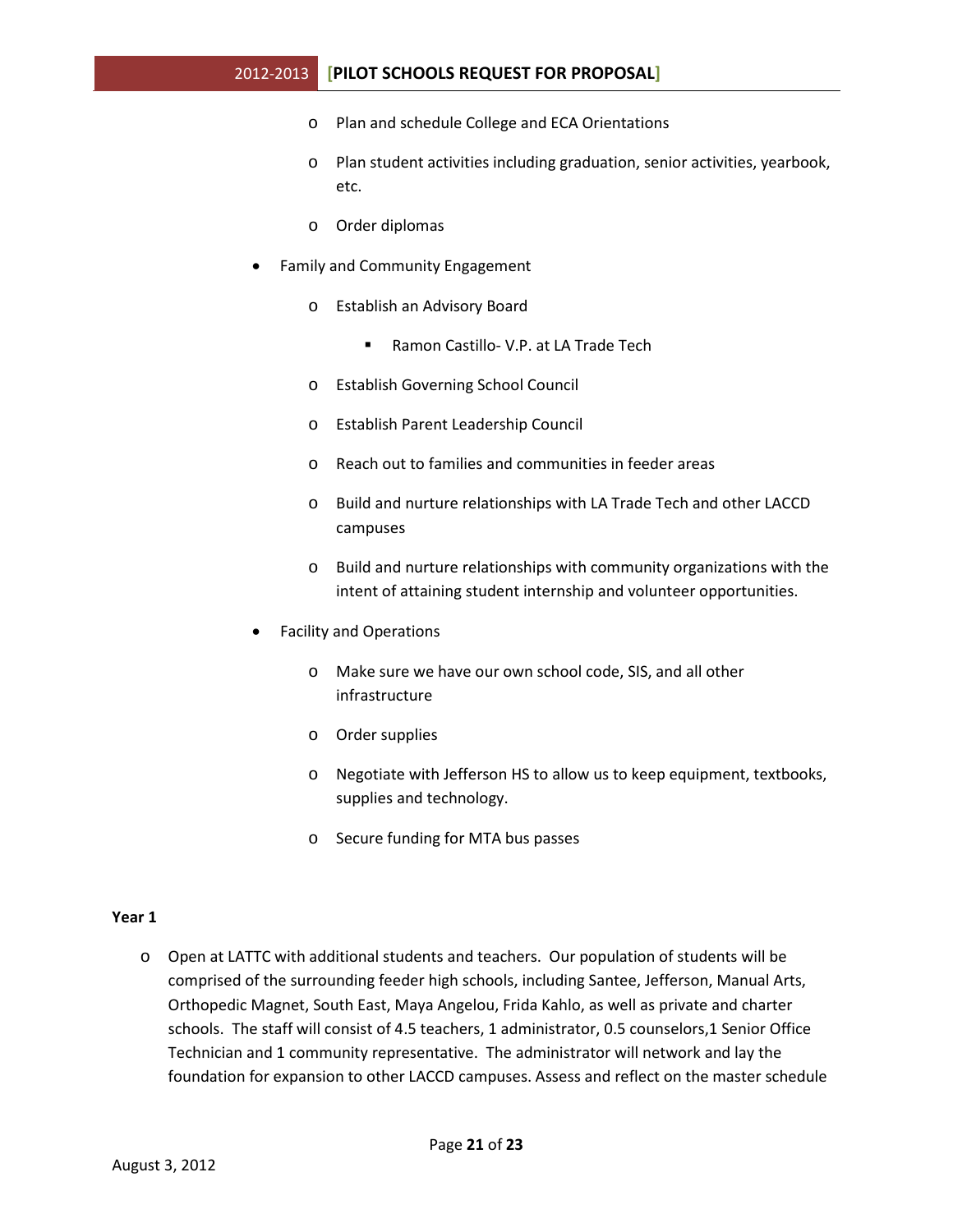- o Plan and schedule College and ECA Orientations
- o Plan student activities including graduation, senior activities, yearbook, etc.
- o Order diplomas
- Family and Community Engagement
	- o Establish an Advisory Board
		- Ramon Castillo- V.P. at LA Trade Tech
	- o Establish Governing School Council
	- o Establish Parent Leadership Council
	- o Reach out to families and communities in feeder areas
	- o Build and nurture relationships with LA Trade Tech and other LACCD campuses
	- o Build and nurture relationships with community organizations with the intent of attaining student internship and volunteer opportunities.
- Facility and Operations
	- o Make sure we have our own school code, SIS, and all other infrastructure
	- o Order supplies
	- o Negotiate with Jefferson HS to allow us to keep equipment, textbooks, supplies and technology.
	- o Secure funding for MTA bus passes

#### **Year 1**

o Open at LATTC with additional students and teachers. Our population of students will be comprised of the surrounding feeder high schools, including Santee, Jefferson, Manual Arts, Orthopedic Magnet, South East, Maya Angelou, Frida Kahlo, as well as private and charter schools. The staff will consist of 4.5 teachers, 1 administrator, 0.5 counselors,1 Senior Office Technician and 1 community representative. The administrator will network and lay the foundation for expansion to other LACCD campuses. Assess and reflect on the master schedule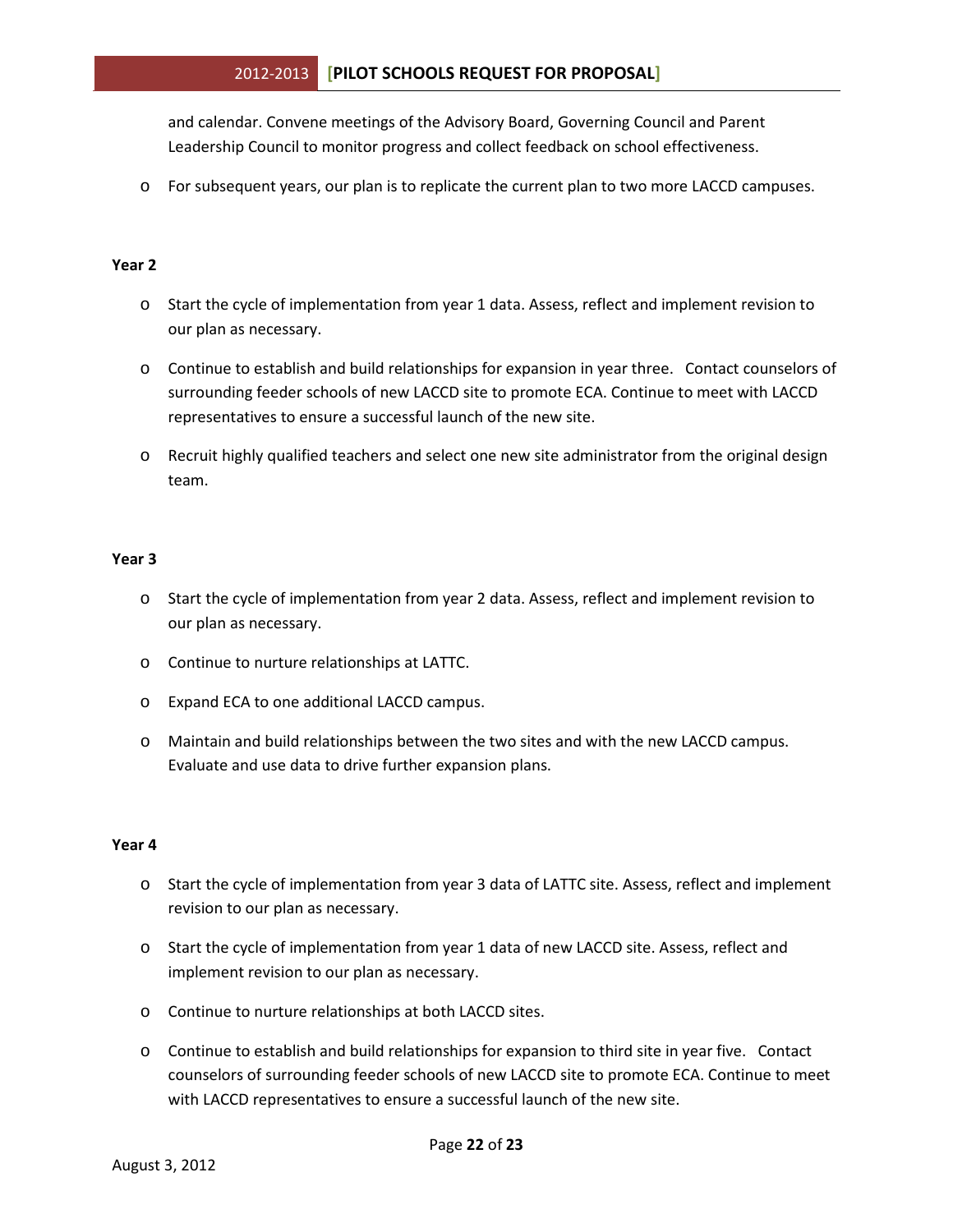and calendar. Convene meetings of the Advisory Board, Governing Council and Parent Leadership Council to monitor progress and collect feedback on school effectiveness.

o For subsequent years, our plan is to replicate the current plan to two more LACCD campuses.

#### **Year 2**

- o Start the cycle of implementation from year 1 data. Assess, reflect and implement revision to our plan as necessary.
- o Continue to establish and build relationships for expansion in year three. Contact counselors of surrounding feeder schools of new LACCD site to promote ECA. Continue to meet with LACCD representatives to ensure a successful launch of the new site.
- o Recruit highly qualified teachers and select one new site administrator from the original design team.

#### **Year 3**

- o Start the cycle of implementation from year 2 data. Assess, reflect and implement revision to our plan as necessary.
- o Continue to nurture relationships at LATTC.
- o Expand ECA to one additional LACCD campus.
- o Maintain and build relationships between the two sites and with the new LACCD campus. Evaluate and use data to drive further expansion plans.

#### **Year 4**

- o Start the cycle of implementation from year 3 data of LATTC site. Assess, reflect and implement revision to our plan as necessary.
- o Start the cycle of implementation from year 1 data of new LACCD site. Assess, reflect and implement revision to our plan as necessary.
- o Continue to nurture relationships at both LACCD sites.
- o Continue to establish and build relationships for expansion to third site in year five. Contact counselors of surrounding feeder schools of new LACCD site to promote ECA. Continue to meet with LACCD representatives to ensure a successful launch of the new site.